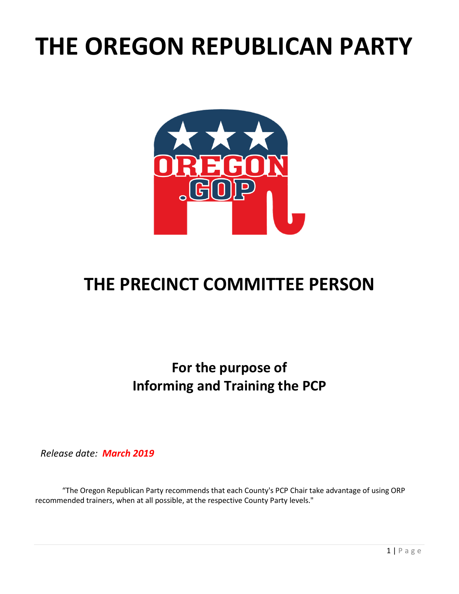# **THE OREGON REPUBLICAN PARTY**



## **THE PRECINCT COMMITTEE PERSON**

**For the purpose of Informing and Training the PCP**

*Release date: March 2019*

"The Oregon Republican Party recommends that each County's PCP Chair take advantage of using ORP recommended trainers, when at all possible, at the respective County Party levels."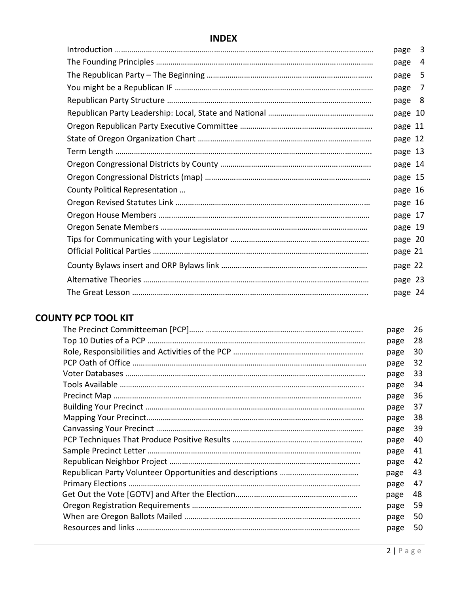#### **INDEX**

|                                 | page    | 3  |
|---------------------------------|---------|----|
|                                 | page    | 4  |
|                                 | page    | 5  |
|                                 | page    | 7  |
|                                 | page    | -8 |
|                                 | page 10 |    |
|                                 | page 11 |    |
|                                 | page 12 |    |
|                                 | page 13 |    |
|                                 | page 14 |    |
|                                 | page 15 |    |
| County Political Representation | page 16 |    |
|                                 | page 16 |    |
|                                 | page 17 |    |
|                                 | page 19 |    |
|                                 | page 20 |    |
|                                 | page 21 |    |
|                                 | page 22 |    |
|                                 | page 23 |    |
|                                 | page 24 |    |

#### **COUNTY PCP TOOL KIT**

| page | 26 |
|------|----|
| page | 28 |
| page | 30 |
| page | 32 |
| page | 33 |
| page | 34 |
| page | 36 |
| page | 37 |
| page | 38 |
| page | 39 |
| page | 40 |
| page | 41 |
| page | 42 |
| page | 43 |
| page | 47 |
| page | 48 |
| page | 59 |
| page | 50 |
| page | 50 |
|      |    |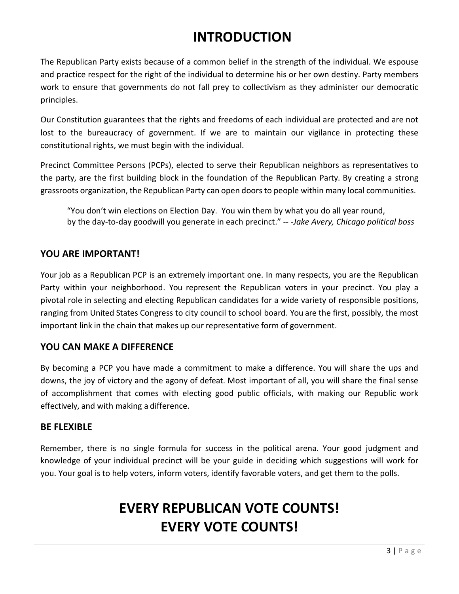### **INTRODUCTION**

The Republican Party exists because of a common belief in the strength of the individual. We espouse and practice respect for the right of the individual to determine his or her own destiny. Party members work to ensure that governments do not fall prey to collectivism as they administer our democratic principles.

Our Constitution guarantees that the rights and freedoms of each individual are protected and are not lost to the bureaucracy of government. If we are to maintain our vigilance in protecting these constitutional rights, we must begin with the individual.

Precinct Committee Persons (PCPs), elected to serve their Republican neighbors as representatives to the party, are the first building block in the foundation of the Republican Party. By creating a strong grassroots organization, the Republican Party can open doorsto people within many local communities.

"You don't win elections on Election Day. You win them by what you do all year round, by the day-to-day goodwill you generate in each precinct." -- -*Jake Avery, Chicago political boss*

#### **YOU ARE IMPORTANT!**

Your job as a Republican PCP is an extremely important one. In many respects, you are the Republican Party within your neighborhood. You represent the Republican voters in your precinct. You play a pivotal role in selecting and electing Republican candidates for a wide variety of responsible positions, ranging from United States Congress to city council to school board. You are the first, possibly, the most important link in the chain that makes up our representative form of government.

#### **YOU CAN MAKE A DIFFERENCE**

By becoming a PCP you have made a commitment to make a difference. You will share the ups and downs, the joy of victory and the agony of defeat. Most important of all, you will share the final sense of accomplishment that comes with electing good public officials, with making our Republic work effectively, and with making a difference.

#### **BE FLEXIBLE**

Remember, there is no single formula for success in the political arena. Your good judgment and knowledge of your individual precinct will be your guide in deciding which suggestions will work for you. Your goal is to help voters, inform voters, identify favorable voters, and get them to the polls.

### **EVERY REPUBLICAN VOTE COUNTS! EVERY VOTE COUNTS!**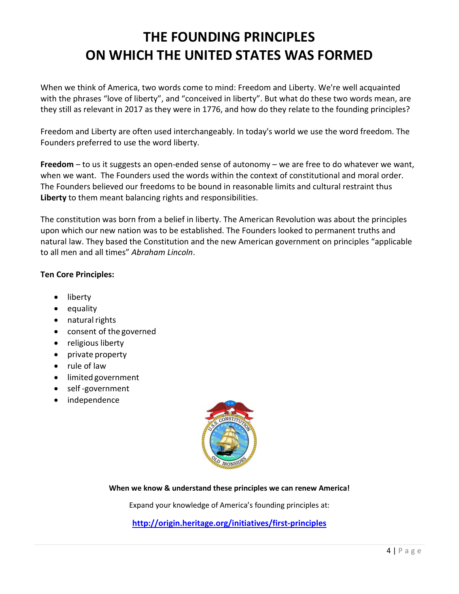### **THE FOUNDING PRINCIPLES ON WHICH THE UNITED STATES WAS FORMED**

When we think of America, two words come to mind: Freedom and Liberty. We're well acquainted with the phrases "love of liberty", and "conceived in liberty". But what do these two words mean, are they still as relevant in 2017 as they were in 1776, and how do they relate to the founding principles?

Freedom and Liberty are often used interchangeably. In today's world we use the word freedom. The Founders preferred to use the word liberty.

**Freedom** – to us it suggests an open-ended sense of autonomy – we are free to do whatever we want, when we want. The Founders used the words within the context of constitutional and moral order. The Founders believed our freedoms to be bound in reasonable limits and cultural restraint thus **Liberty** to them meant balancing rights and responsibilities.

The constitution was born from a belief in liberty. The American Revolution was about the principles upon which our new nation was to be established. The Founders looked to permanent truths and natural law. They based the Constitution and the new American government on principles "applicable to all men and all times" *Abraham Lincoln*.

#### **Ten Core Principles:**

- liberty
- equality
- $\bullet$  natural rights
- consent of the governed
- religious liberty
- private property
- rule of law
- limited government
- self -government
- independence



**When we know & understand these principles we can renew America!**

Expand your knowledge of America's founding principles at:

**<http://origin.heritage.org/initiatives/first-principles>**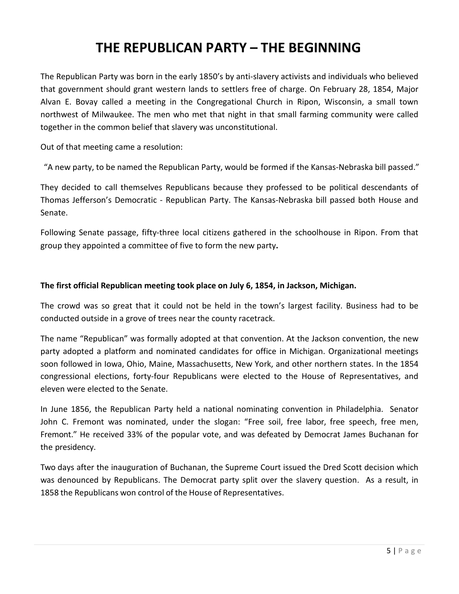### **THE REPUBLICAN PARTY – THE BEGINNING**

The Republican Party was born in the early 1850's by anti-slavery activists and individuals who believed that government should grant western lands to settlers free of charge. On February 28, 1854, Major Alvan E. Bovay called a meeting in the Congregational Church in Ripon, Wisconsin, a small town northwest of Milwaukee. The men who met that night in that small farming community were called together in the common belief that slavery was unconstitutional.

Out of that meeting came a resolution:

"A new party, to be named the Republican Party, would be formed if the Kansas-Nebraska bill passed."

They decided to call themselves Republicans because they professed to be political descendants of Thomas Jefferson's Democratic - Republican Party. The Kansas-Nebraska bill passed both House and Senate.

Following Senate passage, fifty-three local citizens gathered in the schoolhouse in Ripon. From that group they appointed a committee of five to form the new party**.**

#### **The first official Republican meeting took place on July 6, 1854, in Jackson, Michigan.**

The crowd was so great that it could not be held in the town's largest facility. Business had to be conducted outside in a grove of trees near the county racetrack.

The name "Republican" was formally adopted at that convention. At the Jackson convention, the new party adopted a platform and nominated candidates for office in Michigan. Organizational meetings soon followed in Iowa, Ohio, Maine, Massachusetts, New York, and other northern states. In the 1854 congressional elections, forty-four Republicans were elected to the House of Representatives, and eleven were elected to the Senate.

In June 1856, the Republican Party held a national nominating convention in Philadelphia. Senator John C. Fremont was nominated, under the slogan: "Free soil, free labor, free speech, free men, Fremont." He received 33% of the popular vote, and was defeated by Democrat James Buchanan for the presidency.

Two days after the inauguration of Buchanan, the Supreme Court issued the Dred Scott decision which was denounced by Republicans. The Democrat party split over the slavery question. As a result, in 1858 the Republicans won control of the House of Representatives.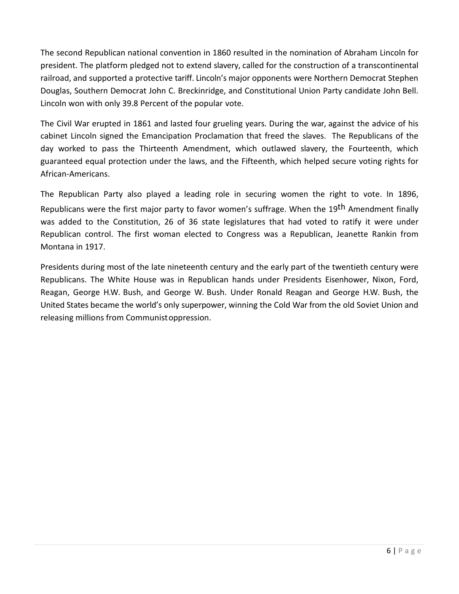The second Republican national convention in 1860 resulted in the nomination of Abraham Lincoln for president. The platform pledged not to extend slavery, called for the construction of a transcontinental railroad, and supported a protective tariff. Lincoln's major opponents were Northern Democrat Stephen Douglas, Southern Democrat John C. Breckinridge, and Constitutional Union Party candidate John Bell. Lincoln won with only 39.8 Percent of the popular vote.

The Civil War erupted in 1861 and lasted four grueling years. During the war, against the advice of his cabinet Lincoln signed the Emancipation Proclamation that freed the slaves. The Republicans of the day worked to pass the Thirteenth Amendment, which outlawed slavery, the Fourteenth, which guaranteed equal protection under the laws, and the Fifteenth, which helped secure voting rights for African-Americans.

The Republican Party also played a leading role in securing women the right to vote. In 1896, Republicans were the first major party to favor women's suffrage. When the 19<sup>th</sup> Amendment finally was added to the Constitution, 26 of 36 state legislatures that had voted to ratify it were under Republican control. The first woman elected to Congress was a Republican, Jeanette Rankin from Montana in 1917.

Presidents during most of the late nineteenth century and the early part of the twentieth century were Republicans. The White House was in Republican hands under Presidents Eisenhower, Nixon, Ford, Reagan, George H.W. Bush, and George W. Bush. Under Ronald Reagan and George H.W. Bush, the United States became the world's only superpower, winning the Cold War from the old Soviet Union and releasing millions from Communistoppression.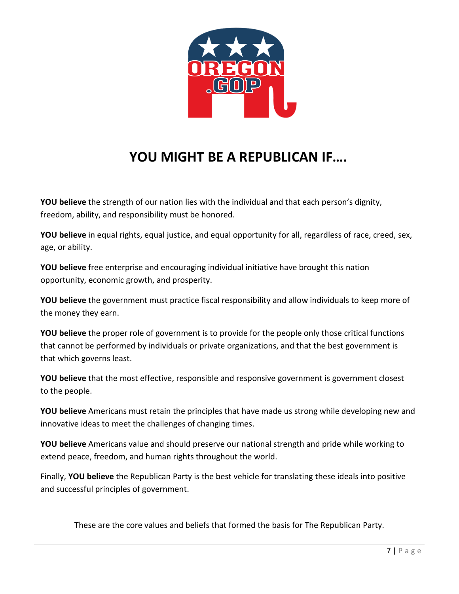

### **YOU MIGHT BE A REPUBLICAN IF….**

**YOU believe** the strength of our nation lies with the individual and that each person's dignity, freedom, ability, and responsibility must be honored.

**YOU believe** in equal rights, equal justice, and equal opportunity for all, regardless of race, creed, sex, age, or ability.

**YOU believe** free enterprise and encouraging individual initiative have brought this nation opportunity, economic growth, and prosperity.

**YOU believe** the government must practice fiscal responsibility and allow individuals to keep more of the money they earn.

**YOU believe** the proper role of government is to provide for the people only those critical functions that cannot be performed by individuals or private organizations, and that the best government is that which governs least.

**YOU believe** that the most effective, responsible and responsive government is government closest to the people.

**YOU believe** Americans must retain the principles that have made us strong while developing new and innovative ideas to meet the challenges of changing times.

**YOU believe** Americans value and should preserve our national strength and pride while working to extend peace, freedom, and human rights throughout the world.

Finally, **YOU believe** the Republican Party is the best vehicle for translating these ideals into positive and successful principles of government.

These are the core values and beliefs that formed the basis for The Republican Party.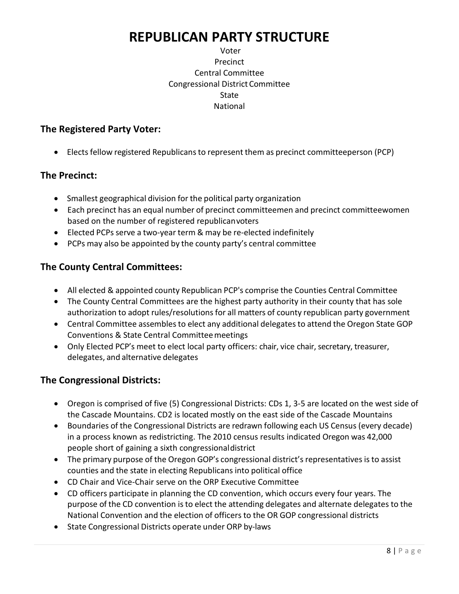### **REPUBLICAN PARTY STRUCTURE**

#### Voter Precinct Central Committee Congressional District Committee State National

#### **The Registered Party Voter:**

• Elects fellow registered Republicans to represent them as precinct committeeperson (PCP)

#### **The Precinct:**

- Smallest geographical division for the political party organization
- Each precinct has an equal number of precinct committeemen and precinct committeewomen based on the number of registered republicanvoters
- Elected PCPs serve a two-year term & may be re-elected indefinitely
- PCPs may also be appointed by the county party's central committee

#### **The County Central Committees:**

- All elected & appointed county Republican PCP's comprise the Counties Central Committee
- The County Central Committees are the highest party authority in their county that has sole authorization to adopt rules/resolutions for all matters of county republican party government
- Central Committee assembles to elect any additional delegates to attend the Oregon State GOP Conventions & State Central Committeemeetings
- Only Elected PCP's meet to elect local party officers: chair, vice chair, secretary, treasurer, delegates, and alternative delegates

#### **The Congressional Districts:**

- Oregon is comprised of five (5) Congressional Districts: CDs 1, 3-5 are located on the west side of the Cascade Mountains. CD2 is located mostly on the east side of the Cascade Mountains
- Boundaries of the Congressional Districts are redrawn following each US Census (every decade) in a process known as redistricting. The 2010 census results indicated Oregon was 42,000 people short of gaining a sixth congressionaldistrict
- The primary purpose of the Oregon GOP's congressional district's representatives is to assist counties and the state in electing Republicans into political office
- CD Chair and Vice-Chair serve on the ORP Executive Committee
- CD officers participate in planning the CD convention, which occurs every four years. The purpose of the CD convention isto elect the attending delegates and alternate delegates to the National Convention and the election of officers to the OR GOP congressional districts
- State Congressional Districts operate under ORP by-laws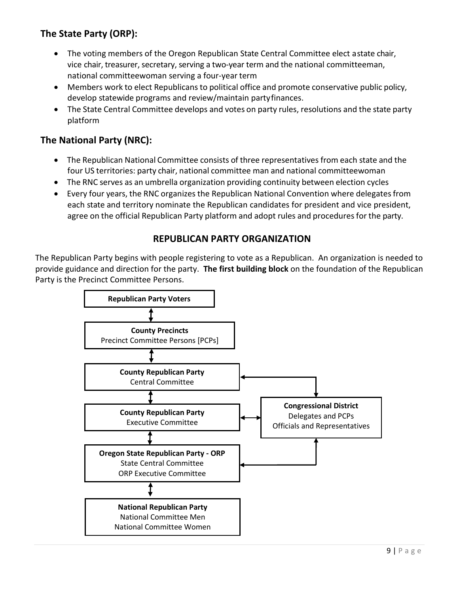#### **The State Party (ORP):**

- The voting members of the Oregon Republican State Central Committee elect astate chair, vice chair, treasurer, secretary, serving a two-year term and the national committeeman, national committeewoman serving a four-year term
- Members work to elect Republicans to political office and promote conservative public policy, develop statewide programs and review/maintain partyfinances.
- The State Central Committee develops and votes on party rules, resolutions and the state party platform

#### **The National Party (NRC):**

- The Republican National Committee consists of three representatives from each state and the four US territories: party chair, national committee man and national committeewoman
- The RNC serves as an umbrella organization providing continuity between election cycles
- Every four years, the RNC organizes the Republican National Convention where delegates from each state and territory nominate the Republican candidates for president and vice president, agree on the official Republican Party platform and adopt rules and proceduresfor the party.

#### **REPUBLICAN PARTY ORGANIZATION**

The Republican Party begins with people registering to vote as a Republican. An organization is needed to provide guidance and direction for the party. **The first building block** on the foundation of the Republican Party is the Precinct Committee Persons.

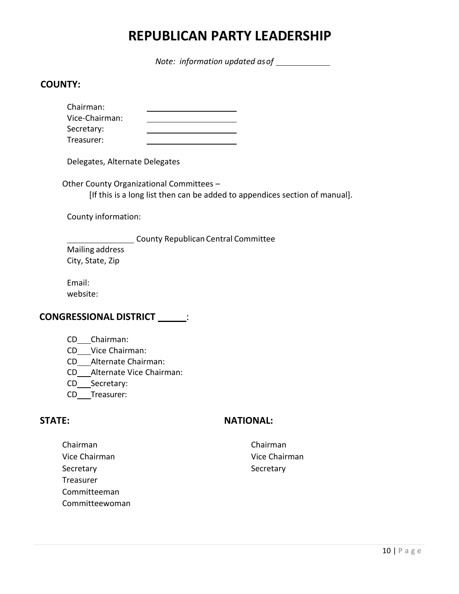### **REPUBLICAN PARTY LEADERSHIP**

*Note: information updated asof*

#### **COUNTY:**

| Chairman:      |  |
|----------------|--|
| Vice-Chairman: |  |
| Secretary:     |  |
| Treasurer:     |  |

Delegates, Alternate Delegates

Other County Organizational Committees – [If this is a long list then can be added to appendices section of manual].

County information:

**County Republican Central Committee** Mailing address City, State, Zip

Email: website:

#### **CONGRESSIONAL DISTRICT \_\_\_\_\_\_:**

- CD Chairman:
- CD Vice Chairman:
- CD Alternate Chairman:
- CD Alternate Vice Chairman:
- CD\_\_\_Secretary:
- CD\_\_Treasurer:

#### **STATE: NATIONAL:**

Chairman Chairman Vice Chairman Vice Chairman Secretary Secretary Secretary Secretary Treasurer Committeeman Committeewoman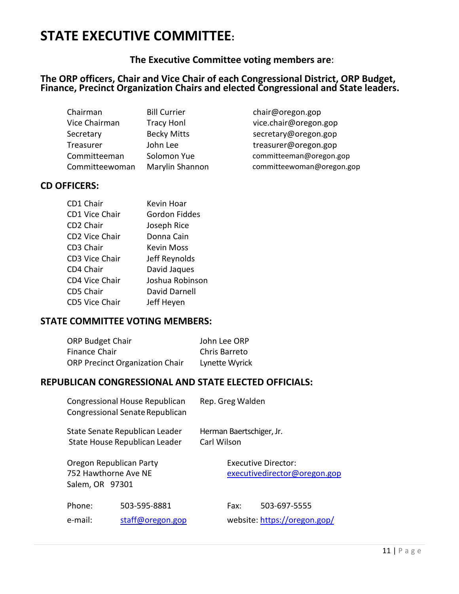### **STATE EXECUTIVE COMMITTEE:**

**The Executive Committee voting members are**:

#### **The ORP officers, Chair and Vice Chair of each Congressional District, ORP Budget, Finance, Precinct Organization Chairs and elected Congressional and State leaders.**

| Chairman       | <b>Bill Currier</b> | chair@oregon.gop        |
|----------------|---------------------|-------------------------|
| Vice Chairman  | <b>Tracy Honl</b>   | vice.chair@oregon.gop   |
| Secretary      | <b>Becky Mitts</b>  | secretary@oregon.gop    |
| Treasurer      | John Lee            | treasurer@oregon.gop    |
| Committeeman   | Solomon Yue         | committeeman@oregon.gop |
| Committeewoman | Marylin Shannon     | committeewoman@oregon.g |

[vice.chair@oregon.gop](mailto:vice.chair@orgop.org) [secretary@oregon.gop](mailto:secretary@orgop.org) committeewoman@oregon.gop

#### **CD OFFICERS:**

| CD1 Chair             | Kevin Hoar      |
|-----------------------|-----------------|
| CD1 Vice Chair        | Gordon Fiddes   |
| CD2 Chair             | Joseph Rice     |
| <b>CD2 Vice Chair</b> | Donna Cain      |
| CD3 Chair             | Kevin Moss      |
| <b>CD3 Vice Chair</b> | Jeff Reynolds   |
| CD4 Chair             | David Jaques    |
| <b>CD4 Vice Chair</b> | Joshua Robinson |
| <b>CD5 Chair</b>      | David Darnell   |
| <b>CD5 Vice Chair</b> | Jeff Heyen      |

#### **STATE COMMITTEE VOTING MEMBERS:**

| <b>ORP Budget Chair</b>                | John Lee ORP   |
|----------------------------------------|----------------|
| <b>Finance Chair</b>                   | Chris Barreto  |
| <b>ORP Precinct Organization Chair</b> | Lynette Wyrick |

#### **REPUBLICAN CONGRESSIONAL AND STATE ELECTED OFFICIALS:**

|                                                                    | Congressional House Republican<br>Congressional Senate Republican |             | Rep. Greg Walden         |                                                     |
|--------------------------------------------------------------------|-------------------------------------------------------------------|-------------|--------------------------|-----------------------------------------------------|
|                                                                    | State Senate Republican Leader<br>State House Republican Leader   | Carl Wilson | Herman Baertschiger, Jr. |                                                     |
| Oregon Republican Party<br>752 Hawthorne Ave NE<br>Salem, OR 97301 |                                                                   |             |                          | Executive Director:<br>executivedirector@oregon.gop |
| Phone:<br>e-mail:                                                  | 503-595-8881<br>staff@oregon.gop                                  |             | Fax:                     | 503-697-5555<br>website: https://oregon.gop/        |
|                                                                    |                                                                   |             |                          |                                                     |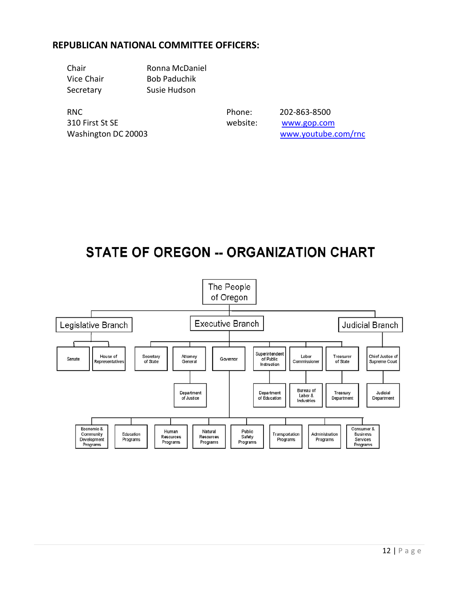#### **REPUBLICAN NATIONAL COMMITTEE OFFICERS:**

| Chair      | Ronna McDaniel      |
|------------|---------------------|
| Vice Chair | <b>Bob Paduchik</b> |
| Secretary  | Susie Hudson        |

RNC Phone: 202-863-8500 310 First St SE website: website: [www.gop.com](http://www.gop.com/)

Washington DC 20003 [www.youtube.com/rnc](http://www.youtube.com/rnc)

### **STATE OF OREGON -- ORGANIZATION CHART**

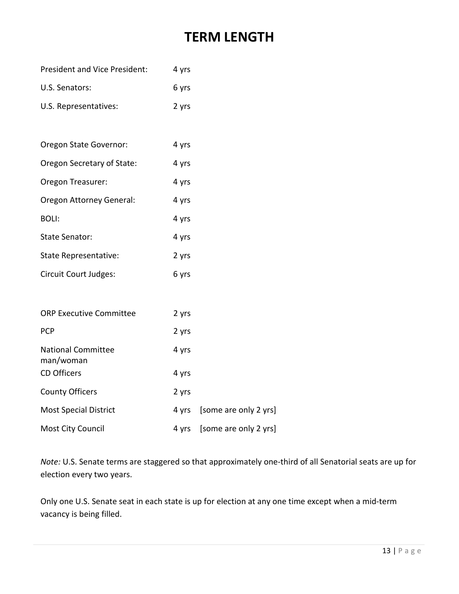### **TERM LENGTH**

| <b>President and Vice President:</b>   | 4 yrs |                       |
|----------------------------------------|-------|-----------------------|
| U.S. Senators:                         | 6 yrs |                       |
| U.S. Representatives:                  | 2 yrs |                       |
|                                        |       |                       |
| Oregon State Governor:                 | 4 yrs |                       |
| Oregon Secretary of State:             | 4 yrs |                       |
| Oregon Treasurer:                      | 4 yrs |                       |
| Oregon Attorney General:               | 4 yrs |                       |
| <b>BOLI:</b>                           | 4 yrs |                       |
| State Senator:                         | 4 yrs |                       |
| State Representative:                  | 2 yrs |                       |
| Circuit Court Judges:                  | 6 yrs |                       |
|                                        |       |                       |
| <b>ORP Executive Committee</b>         | 2 yrs |                       |
| <b>PCP</b>                             | 2 yrs |                       |
| <b>National Committee</b><br>man/woman | 4 yrs |                       |
| <b>CD Officers</b>                     | 4 yrs |                       |
| <b>County Officers</b>                 | 2 yrs |                       |
| <b>Most Special District</b>           | 4 yrs | [some are only 2 yrs] |
| Most City Council                      | 4 yrs | [some are only 2 yrs] |

*Note:* U.S. Senate terms are staggered so that approximately one-third of all Senatorial seats are up for election every two years.

Only one U.S. Senate seat in each state is up for election at any one time except when a mid-term vacancy is being filled.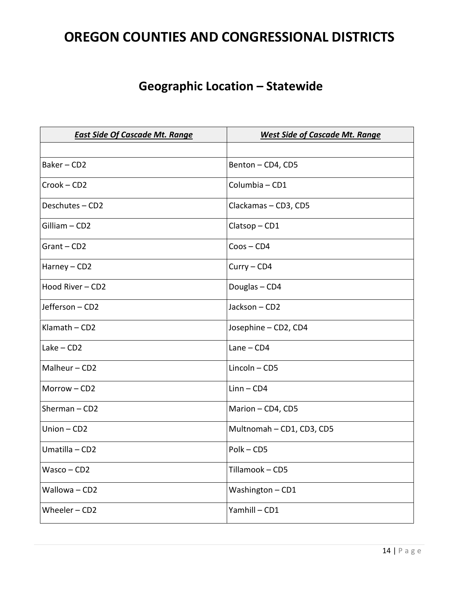### **OREGON COUNTIES AND CONGRESSIONAL DISTRICTS**

### **Geographic Location – Statewide**

| <b>East Side Of Cascade Mt. Range</b> | <b>West Side of Cascade Mt. Range</b> |
|---------------------------------------|---------------------------------------|
|                                       |                                       |
| Baker-CD2                             | Benton - CD4, CD5                     |
| Crook-CD2                             | Columbia - CD1                        |
| Deschutes-CD2                         | Clackamas - CD3, CD5                  |
| Gilliam - CD2                         | Clatsop-CD1                           |
| Grant-CD2                             | $C$ oos - $CD4$                       |
| Harney - CD2                          | $Curry - CD4$                         |
| Hood River - CD2                      | Douglas - CD4                         |
| Jefferson - CD2                       | Jackson - CD2                         |
| Klamath $-$ CD2                       | Josephine - CD2, CD4                  |
| $Lake - CD2$                          | $Lane - CD4$                          |
| Malheur - CD2                         | $Lincoh-CD5$                          |
| Morrow-CD2                            | $Linn$ – $CD4$                        |
| Sherman $-$ CD2                       | Marion - CD4, CD5                     |
| Union $-$ CD2                         | Multnomah - CD1, CD3, CD5             |
| Umatilla - CD2                        | Polk-CD5                              |
| $Wasco$ - CD2                         | Tillamook - CD5                       |
| Wallowa - CD2                         | Washington-CD1                        |
| Wheeler $-$ CD2                       | Yamhill-CD1                           |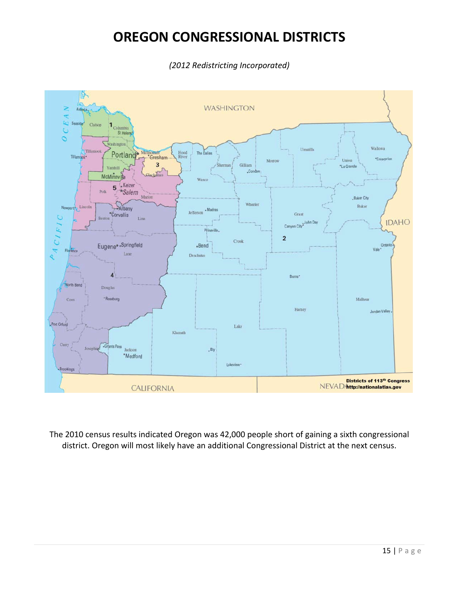### **OREGON CONGRESSIONAL DISTRICTS**

*(2012 Redistricting Incorporated)*



The 2010 census results indicated Oregon was 42,000 people short of gaining a sixth congressional district. Oregon will most likely have an additional Congressional District at the next census.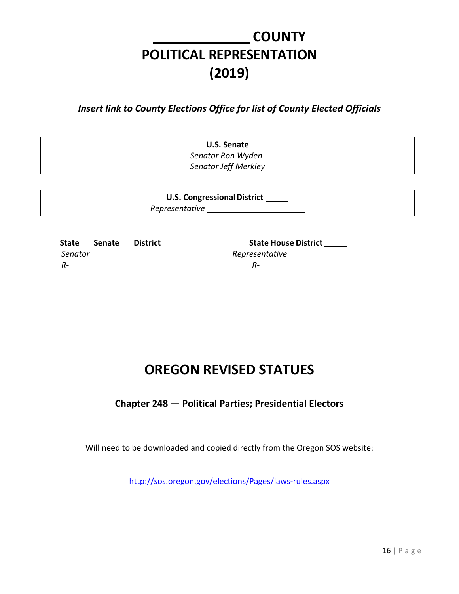### **COUNTY POLITICAL REPRESENTATION (2019)**

*Insert link to County Elections Office for list of County Elected Officials*

**U.S. Senate**  *Senator Ron Wyden Senator Jeff Merkley*

**U.S. Congressional District** 

*Representative*

**State Senate District**  *Senator R-*

**State House District** *Representative*

*R-*

**OREGON REVISED STATUES**

**Chapter 248 — Political Parties; Presidential Electors**

Will need to be downloaded and copied directly from the Oregon SOS website:

http://sos.oregon.gov/elections/Pages/laws-rules.aspx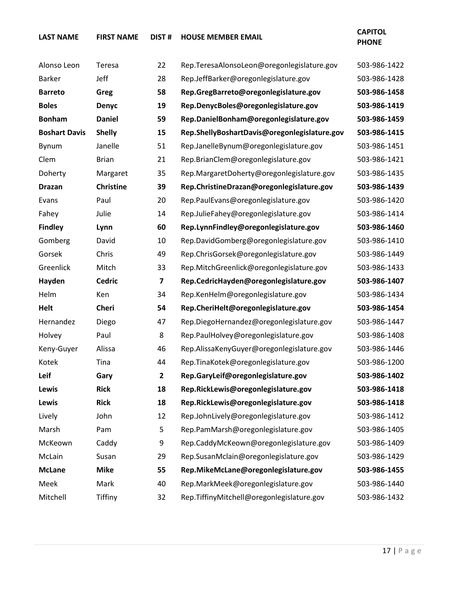| Alonso Leon          | Teresa           | 22                      | Rep.TeresaAlonsoLeon@oregonlegislature.gov   | 503-986-1422 |
|----------------------|------------------|-------------------------|----------------------------------------------|--------------|
| <b>Barker</b>        | Jeff             | 28                      | Rep.JeffBarker@oregonlegislature.gov         | 503-986-1428 |
| <b>Barreto</b>       | Greg             | 58                      | Rep.GregBarreto@oregonlegislature.gov        | 503-986-1458 |
| <b>Boles</b>         | <b>Denyc</b>     | 19                      | Rep.DenycBoles@oregonlegislature.gov         | 503-986-1419 |
| <b>Bonham</b>        | <b>Daniel</b>    | 59                      | Rep.DanielBonham@oregonlegislature.gov       | 503-986-1459 |
| <b>Boshart Davis</b> | <b>Shelly</b>    | 15                      | Rep.ShellyBoshartDavis@oregonlegislature.gov | 503-986-1415 |
| Bynum                | Janelle          | 51                      | Rep.JanelleBynum@oregonlegislature.gov       | 503-986-1451 |
| Clem                 | <b>Brian</b>     | 21                      | Rep.BrianClem@oregonlegislature.gov          | 503-986-1421 |
| Doherty              | Margaret         | 35                      | Rep.MargaretDoherty@oregonlegislature.gov    | 503-986-1435 |
| <b>Drazan</b>        | <b>Christine</b> | 39                      | Rep.ChristineDrazan@oregonlegislature.gov    | 503-986-1439 |
| Evans                | Paul             | 20                      | Rep.PaulEvans@oregonlegislature.gov          | 503-986-1420 |
| Fahey                | Julie            | 14                      | Rep.JulieFahey@oregonlegislature.gov         | 503-986-1414 |
| <b>Findley</b>       | Lynn             | 60                      | Rep.LynnFindley@oregonlegislature.gov        | 503-986-1460 |
| Gomberg              | David            | 10                      | Rep.DavidGomberg@oregonlegislature.gov       | 503-986-1410 |
| Gorsek               | Chris            | 49                      | Rep.ChrisGorsek@oregonlegislature.gov        | 503-986-1449 |
| Greenlick            | Mitch            | 33                      | Rep.MitchGreenlick@oregonlegislature.gov     | 503-986-1433 |
| Hayden               | <b>Cedric</b>    | 7                       | Rep.CedricHayden@oregonlegislature.gov       | 503-986-1407 |
| Helm                 | Ken              | 34                      | Rep.KenHelm@oregonlegislature.gov            | 503-986-1434 |
| <b>Helt</b>          | Cheri            | 54                      | Rep.CheriHelt@oregonlegislature.gov          | 503-986-1454 |
| Hernandez            | Diego            | 47                      | Rep.DiegoHernandez@oregonlegislature.gov     | 503-986-1447 |
| Holvey               | Paul             | 8                       | Rep.PaulHolvey@oregonlegislature.gov         | 503-986-1408 |
| Keny-Guyer           | Alissa           | 46                      | Rep.AlissaKenyGuyer@oregonlegislature.gov    | 503-986-1446 |
| Kotek                | Tina             | 44                      | Rep.TinaKotek@oregonlegislature.gov          | 503-986-1200 |
| Leif                 | Gary             | $\overline{\mathbf{2}}$ | Rep.GaryLeif@oregonlegislature.gov           | 503-986-1402 |
| Lewis                | <b>Rick</b>      | 18                      | Rep.RickLewis@oregonlegislature.gov          | 503-986-1418 |
| Lewis                | <b>Rick</b>      | 18                      | Rep.RickLewis@oregonlegislature.gov          | 503-986-1418 |
| Lively               | John             | 12                      | Rep.JohnLively@oregonlegislature.gov         | 503-986-1412 |
| Marsh                | Pam              | 5                       | Rep.PamMarsh@oregonlegislature.gov           | 503-986-1405 |
| McKeown              | Caddy            | 9                       | Rep.CaddyMcKeown@oregonlegislature.gov       | 503-986-1409 |
| McLain               | Susan            | 29                      | Rep.SusanMclain@oregonlegislature.gov        | 503-986-1429 |

**McLane Mike 55 Rep.MikeMcLane@oregonlegislature.gov 503-986-1455** Meek Mark 40 Rep.MarkMeek@oregonlegislature.gov 503-986-1440 Mitchell Tiffiny 32 Rep.TiffinyMitchell@oregonlegislature.gov 503-986-1432

**LAST NAME FIRST NAME DIST # HOUSE MEMBER EMAIL CAPITOL** 

### **PHONE**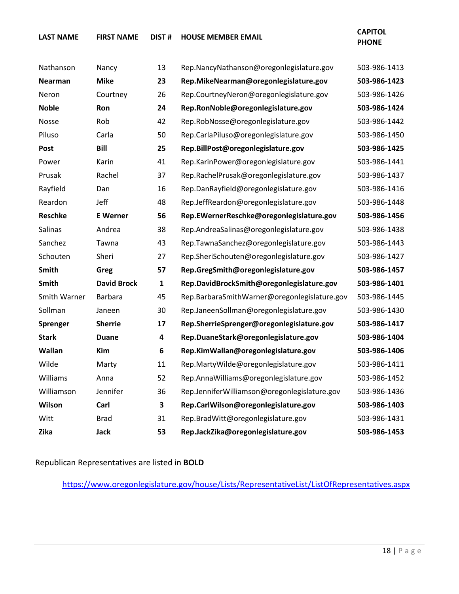**LAST NAME FIRST NAME DIST # HOUSE MEMBER EMAIL CAPITOL** 

### **PHONE**

| Nathanson      | Nancy              | 13           | Rep.NancyNathanson@oregonlegislature.gov     | 503-986-1413 |
|----------------|--------------------|--------------|----------------------------------------------|--------------|
| Nearman        | <b>Mike</b>        | 23           | Rep.MikeNearman@oregonlegislature.gov        | 503-986-1423 |
| Neron          | Courtney           | 26           | Rep.CourtneyNeron@oregonlegislature.gov      | 503-986-1426 |
| <b>Noble</b>   | Ron                | 24           | Rep.RonNoble@oregonlegislature.gov           | 503-986-1424 |
| Nosse          | Rob                | 42           | Rep.RobNosse@oregonlegislature.gov           | 503-986-1442 |
| Piluso         | Carla              | 50           | Rep.CarlaPiluso@oregonlegislature.gov        | 503-986-1450 |
| Post           | <b>Bill</b>        | 25           | Rep.BillPost@oregonlegislature.gov           | 503-986-1425 |
| Power          | Karin              | 41           | Rep.KarinPower@oregonlegislature.gov         | 503-986-1441 |
| Prusak         | Rachel             | 37           | Rep.RachelPrusak@oregonlegislature.gov       | 503-986-1437 |
| Rayfield       | Dan                | 16           | Rep.DanRayfield@oregonlegislature.gov        | 503-986-1416 |
| Reardon        | Jeff               | 48           | Rep.JeffReardon@oregonlegislature.gov        | 503-986-1448 |
| <b>Reschke</b> | <b>E</b> Werner    | 56           | Rep.EWernerReschke@oregonlegislature.gov     | 503-986-1456 |
| Salinas        | Andrea             | 38           | Rep.AndreaSalinas@oregonlegislature.gov      | 503-986-1438 |
| Sanchez        | Tawna              | 43           | Rep.TawnaSanchez@oregonlegislature.gov       | 503-986-1443 |
| Schouten       | Sheri              | 27           | Rep.SheriSchouten@oregonlegislature.gov      | 503-986-1427 |
| Smith          | Greg               | 57           | Rep.GregSmith@oregonlegislature.gov          | 503-986-1457 |
| Smith          | <b>David Brock</b> | $\mathbf{1}$ | Rep.DavidBrockSmith@oregonlegislature.gov    | 503-986-1401 |
| Smith Warner   | <b>Barbara</b>     | 45           | Rep.BarbaraSmithWarner@oregonlegislature.gov | 503-986-1445 |
| Sollman        | Janeen             | 30           | Rep.JaneenSollman@oregonlegislature.gov      | 503-986-1430 |
| Sprenger       | <b>Sherrie</b>     | 17           | Rep.SherrieSprenger@oregonlegislature.gov    | 503-986-1417 |
| <b>Stark</b>   | <b>Duane</b>       | 4            | Rep.DuaneStark@oregonlegislature.gov         | 503-986-1404 |
| Wallan         | Kim                | 6            | Rep.KimWallan@oregonlegislature.gov          | 503-986-1406 |
| Wilde          | Marty              | 11           | Rep.MartyWilde@oregonlegislature.gov         | 503-986-1411 |
| Williams       | Anna               | 52           | Rep.AnnaWilliams@oregonlegislature.gov       | 503-986-1452 |
| Williamson     | Jennifer           | 36           | Rep.JenniferWilliamson@oregonlegislature.gov | 503-986-1436 |
| Wilson         | Carl               | 3            | Rep.CarlWilson@oregonlegislature.gov         | 503-986-1403 |
| Witt           | Brad               | 31           | Rep.BradWitt@oregonlegislature.gov           | 503-986-1431 |
| Zika           | <b>Jack</b>        | 53           | Rep.JackZika@oregonlegislature.gov           | 503-986-1453 |

Republican Representatives are listed in **BOLD**

<https://www.oregonlegislature.gov/house/Lists/RepresentativeList/ListOfRepresentatives.aspx>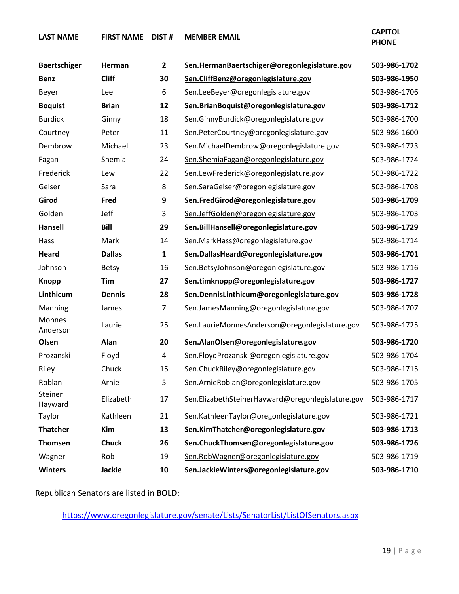**LAST NAME FIRST NAME DIST # MEMBER EMAIL CAPITOL** 

**PHONE**

| <b>Baertschiger</b>       | Herman        | $\mathbf{2}$   | Sen.HermanBaertschiger@oregonlegislature.gov      | 503-986-1702 |
|---------------------------|---------------|----------------|---------------------------------------------------|--------------|
| <b>Benz</b>               | <b>Cliff</b>  | 30             | Sen.CliffBenz@oregonlegislature.gov               | 503-986-1950 |
| Beyer                     | Lee           | 6              | Sen.LeeBeyer@oregonlegislature.gov                | 503-986-1706 |
| <b>Boquist</b>            | <b>Brian</b>  | 12             | Sen.BrianBoquist@oregonlegislature.gov            | 503-986-1712 |
| <b>Burdick</b>            | Ginny         | 18             | Sen.GinnyBurdick@oregonlegislature.gov            | 503-986-1700 |
| Courtney                  | Peter         | 11             | Sen.PeterCourtney@oregonlegislature.gov           | 503-986-1600 |
| Dembrow                   | Michael       | 23             | Sen.MichaelDembrow@oregonlegislature.gov          | 503-986-1723 |
| Fagan                     | Shemia        | 24             | Sen.ShemiaFagan@oregonlegislature.gov             | 503-986-1724 |
| Frederick                 | Lew           | 22             | Sen.LewFrederick@oregonlegislature.gov            | 503-986-1722 |
| Gelser                    | Sara          | 8              | Sen.SaraGelser@oregonlegislature.gov              | 503-986-1708 |
| Girod                     | Fred          | 9              | Sen.FredGirod@oregonlegislature.gov               | 503-986-1709 |
| Golden                    | Jeff          | 3              | Sen.JeffGolden@oregonlegislature.gov              | 503-986-1703 |
| Hansell                   | <b>Bill</b>   | 29             | Sen.BillHansell@oregonlegislature.gov             | 503-986-1729 |
| Hass                      | Mark          | 14             | Sen.MarkHass@oregonlegislature.gov                | 503-986-1714 |
| <b>Heard</b>              | <b>Dallas</b> | 1              | Sen.DallasHeard@oregonlegislature.gov             | 503-986-1701 |
| Johnson                   | <b>Betsy</b>  | 16             | Sen.BetsyJohnson@oregonlegislature.gov            | 503-986-1716 |
| <b>Knopp</b>              | Tim           | 27             | Sen.timknopp@oregonlegislature.gov                | 503-986-1727 |
| Linthicum                 | <b>Dennis</b> | 28             | Sen.DennisLinthicum@oregonlegislature.gov         | 503-986-1728 |
| Manning                   | James         | $\overline{7}$ | Sen.JamesManning@oregonlegislature.gov            | 503-986-1707 |
| <b>Monnes</b><br>Anderson | Laurie        | 25             | Sen.LaurieMonnesAnderson@oregonlegislature.gov    | 503-986-1725 |
| Olsen                     | Alan          | 20             | Sen.AlanOlsen@oregonlegislature.gov               | 503-986-1720 |
| Prozanski                 | Floyd         | 4              | Sen.FloydProzanski@oregonlegislature.gov          | 503-986-1704 |
| Riley                     | Chuck         | 15             | Sen.ChuckRiley@oregonlegislature.gov              | 503-986-1715 |
| Roblan                    | Arnie         | 5              | Sen.ArnieRoblan@oregonlegislature.gov             | 503-986-1705 |
| Steiner<br>Hayward        | Elizabeth     | 17             | Sen.ElizabethSteinerHayward@oregonlegislature.gov | 503-986-1717 |
| Taylor                    | Kathleen      | 21             | Sen.KathleenTaylor@oregonlegislature.gov          | 503-986-1721 |
| <b>Thatcher</b>           | Kim           | 13             | Sen.KimThatcher@oregonlegislature.gov             | 503-986-1713 |
| <b>Thomsen</b>            | <b>Chuck</b>  | 26             | Sen.ChuckThomsen@oregonlegislature.gov            | 503-986-1726 |
| Wagner                    | Rob           | 19             | Sen.RobWagner@oregonlegislature.gov               | 503-986-1719 |
| <b>Winters</b>            | <b>Jackie</b> | 10             | Sen.JackieWinters@oregonlegislature.gov           | 503-986-1710 |

Republican Senators are listed in **BOLD**:

<https://www.oregonlegislature.gov/senate/Lists/SenatorList/ListOfSenators.aspx>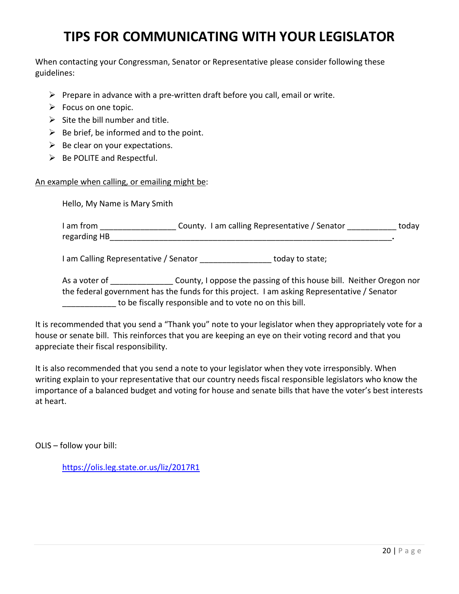### **TIPS FOR COMMUNICATING WITH YOUR LEGISLATOR**

When contacting your Congressman, Senator or Representative please consider following these guidelines:

- $\triangleright$  Prepare in advance with a pre-written draft before you call, email or write.
- $\triangleright$  Focus on one topic.
- $\triangleright$  Site the bill number and title.
- $\triangleright$  Be brief, be informed and to the point.
- $\triangleright$  Be clear on your expectations.
- $\triangleright$  Be POLITE and Respectful.

#### An example when calling, or emailing might be:

Hello, My Name is Mary Smith

| I am from    | County. I am calling Representative / Senator | today |
|--------------|-----------------------------------------------|-------|
| regarding HB |                                               |       |

I am Calling Representative / Senator **Example 20** today to state;

As a voter of Table County, I oppose the passing of this house bill. Neither Oregon nor the federal government has the funds for this project. I am asking Representative / Senator to be fiscally responsible and to vote no on this bill.

It is recommended that you send a "Thank you" note to your legislator when they appropriately vote for a house or senate bill. This reinforces that you are keeping an eye on their voting record and that you appreciate their fiscal responsibility.

It is also recommended that you send a note to your legislator when they vote irresponsibly. When writing explain to your representative that our country needs fiscal responsible legislators who know the importance of a balanced budget and voting for house and senate bills that have the voter's best interests at heart.

OLIS – follow your bill:

<https://olis.leg.state.or.us/liz/2017R1>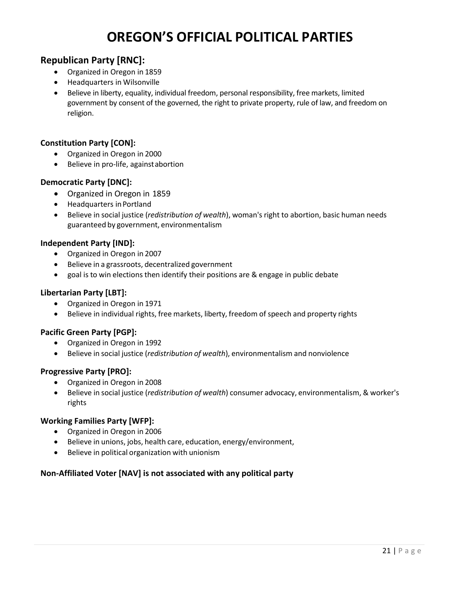### **OREGON'S OFFICIAL POLITICAL PARTIES**

#### **Republican Party [RNC]:**

- Organized in Oregon in 1859
- Headquarters in Wilsonville
- Believe in liberty, equality, individual freedom, personal responsibility, free markets, limited government by consent of the governed, the right to private property, rule of law, and freedom on religion.

#### **Constitution Party [CON]:**

- Organized in Oregon in 2000
- Believe in pro-life, againstabortion

#### **Democratic Party [DNC]:**

- Organized in Oregon in 1859
- Headquarters inPortland
- Believe in social justice (*redistribution of wealth*), woman's right to abortion, basic human needs guaranteed by government, environmentalism

#### **Independent Party [IND]:**

- Organized in Oregon in 2007
- Believe in a grassroots, decentralized government
- goal is to win elections then identify their positions are & engage in public debate

#### **Libertarian Party [LBT]:**

- Organized in Oregon in 1971
- Believe in individual rights, free markets, liberty, freedom of speech and property rights

#### **Pacific Green Party [PGP]:**

- Organized in Oregon in 1992
- Believe in social justice (*redistribution of wealth*), environmentalism and nonviolence

#### **Progressive Party [PRO]:**

- Organized in Oregon in 2008
- Believe in social justice (*redistribution of wealth*) consumer advocacy, environmentalism, & worker's rights

#### **Working Families Party [WFP]:**

- Organized in Oregon in 2006
- Believe in unions, jobs, health care, education, energy/environment,
- Believe in political organization with unionism

#### **Non-Affiliated Voter [NAV] is not associated with any political party**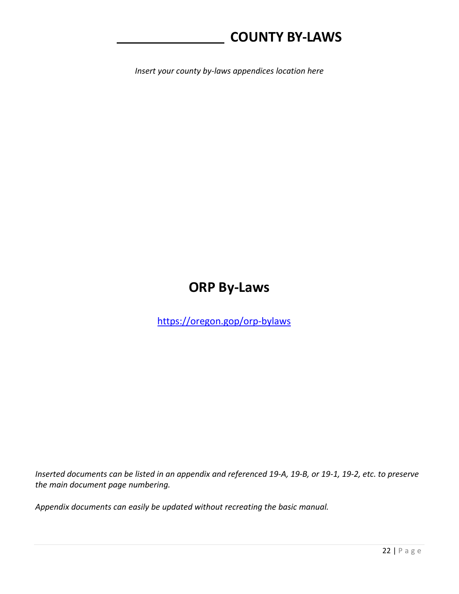### **COUNTY BY-LAWS**

*Insert your county by-laws appendices location here*

### **ORP By-Laws**

<https://oregon.gop/orp-bylaws>

*Inserted documents can be listed in an appendix and referenced 19-A, 19-B, or 19-1, 19-2, etc. to preserve the main document page numbering.*

*Appendix documents can easily be updated without recreating the basic manual.*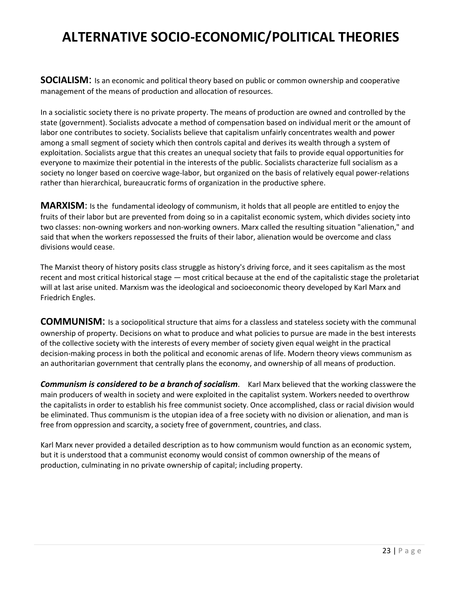### **ALTERNATIVE SOCIO-ECONOMIC/POLITICAL THEORIES**

**SOCIALISM**: Is an economic and political theory based on public or common ownership and cooperative management of the means of production and allocation of resources.

In a socialistic society there is no private property. The means of production are owned and controlled by the state (government). Socialists advocate a method of compensation based on individual merit or the amount of labor one contributes to society. Socialists believe that capitalism unfairly concentrates wealth and power among a small segment of society which then controls capital and derives its wealth through a system of exploitation. Socialists argue that this creates an unequal society that fails to provide equal opportunities for everyone to maximize their potential in the interests of the public. Socialists characterize full socialism as a society no longer based on coercive wage-labor, but organized on the basis of relatively equal power-relations rather than hierarchical, bureaucratic forms of organization in the productive sphere.

**MARXISM**: Is the fundamental ideology of communism, it holds that all people are entitled to enjoy the fruits of their labor but are prevented from doing so in a capitalist economic system, which divides society into two classes: non-owning workers and non-working owners. Marx called the resulting situation "alienation," and said that when the workers repossessed the fruits of their labor, alienation would be overcome and class divisions would cease.

The Marxist theory of history posits class struggle as history's driving force, and it sees capitalism as the most recent and most critical historical stage — most critical because at the end of the capitalistic stage the proletariat will at last arise united. Marxism was the ideological and socioeconomic theory developed by Karl Marx and Friedrich Engles.

**COMMUNISM**: Is a sociopolitical structure that aims for a classless and stateless society with the communal ownership of property. Decisions on what to produce and what policies to pursue are made in the best interests of the collective society with the interests of every member of society given equal weight in the practical decision-making process in both the political and economic arenas of life. Modern theory views communism as an authoritarian government that centrally plans the economy, and ownership of all means of production.

*Communism is considered to be a branch of socialism*. Karl Marx believed that the working classwere the main producers of wealth in society and were exploited in the capitalist system. Workers needed to overthrow the capitalists in order to establish his free communist society. Once accomplished, class or racial division would be eliminated. Thus communism is the utopian idea of a free society with no division or alienation, and man is free from oppression and scarcity, a society free of government, countries, and class.

Karl Marx never provided a detailed description as to how communism would function as an economic system, but it is understood that a communist economy would consist of common ownership of the means of production, culminating in no private ownership of capital; including property.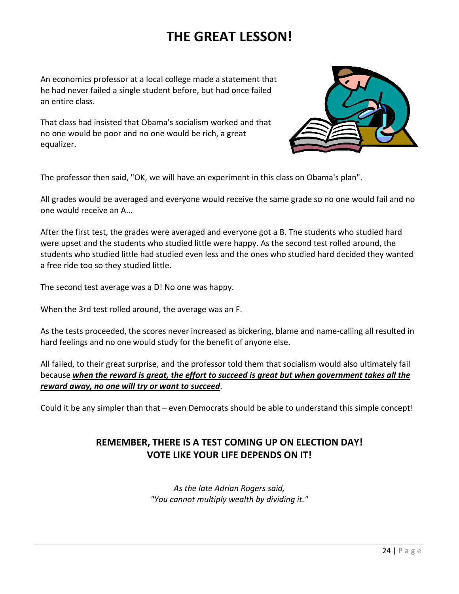### **THE GREAT LESSON!**

An economics professor at a local college made a statement that he had never failed a single student before, but had once failed an entire class.

That class had insisted that Obama's socialism worked and that no one would be poor and no one would be rich, a great equalizer.



The professor then said, "OK, we will have an experiment in this class on Obama's plan".

All grades would be averaged and everyone would receive the same grade so no one would fail and no one would receive an A...

After the first test, the grades were averaged and everyone got a B. The students who studied hard were upset and the students who studied little were happy. As the second test rolled around, the students who studied little had studied even less and the ones who studied hard decided they wanted a free ride too so they studied little.

The second test average was a D! No one was happy.

When the 3rd test rolled around, the average was an F.

As the tests proceeded, the scores never increased as bickering, blame and name-calling all resulted in hard feelings and no one would study for the benefit of anyone else.

All failed, to their great surprise, and the professor told them that socialism would also ultimately fail because *when the reward is great, the effort to succeed is great but when government takes all the reward away, no one will try or want to succeed*.

Could it be any simpler than that – even Democrats should be able to understand this simple concept!

#### **REMEMBER, THERE IS A TEST COMING UP ON ELECTION DAY! VOTE LIKE YOUR LIFE DEPENDS ON IT!**

*As the late Adrian Rogers said, "You cannot multiply wealth by dividing it."*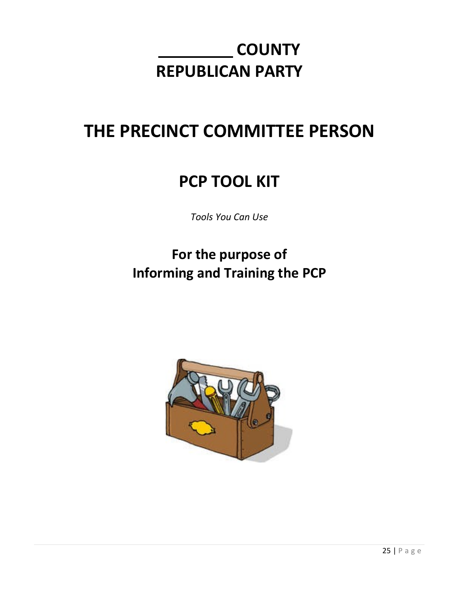### **COUNTY REPUBLICAN PARTY**

### **THE PRECINCT COMMITTEE PERSON**

### **PCP TOOL KIT**

*Tools You Can Use*

### **For the purpose of Informing and Training the PCP**

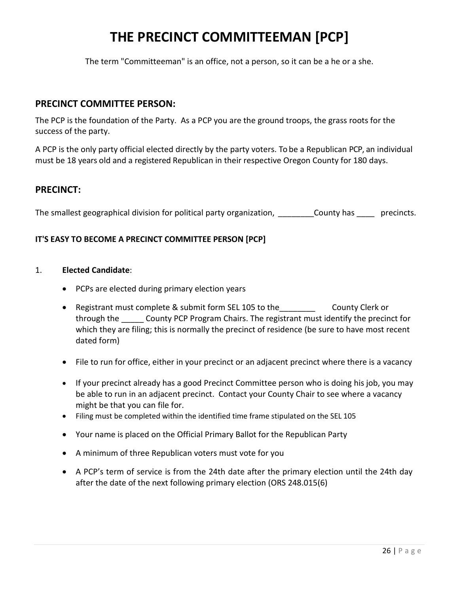### **THE PRECINCT COMMITTEEMAN [PCP]**

The term "Committeeman" is an office, not a person, so it can be a he or a she.

#### **PRECINCT COMMITTEE PERSON:**

The PCP is the foundation of the Party. As a PCP you are the ground troops, the grass roots for the success of the party.

A PCP is the only party official elected directly by the party voters. To be a Republican PCP, an individual must be 18 years old and a registered Republican in their respective Oregon County for 180 days.

#### **PRECINCT:**

The smallest geographical division for political party organization, and the county has experiencts.

#### **IT'S EASY TO BECOME A PRECINCT COMMITTEE PERSON [PCP]**

#### 1. **Elected Candidate**:

- PCPs are elected during primary election years
- Registrant must complete & submit form SEL 105 to the County Clerk or through the \_\_\_\_\_ County PCP Program Chairs. The registrant must identify the precinct for which they are filing; this is normally the precinct of residence (be sure to have most recent dated form)
- File to run for office, either in your precinct or an adjacent precinct where there is a vacancy
- If your precinct already has a good Precinct Committee person who is doing his job, you may be able to run in an adjacent precinct. Contact your County Chair to see where a vacancy might be that you can file for.
- Filing must be completed within the identified time frame stipulated on the SEL 105
- Your name is placed on the Official Primary Ballot for the Republican Party
- A minimum of three Republican voters must vote for you
- A PCP's term of service is from the 24th date after the primary election until the 24th day after the date of the next following primary election (ORS 248.015(6)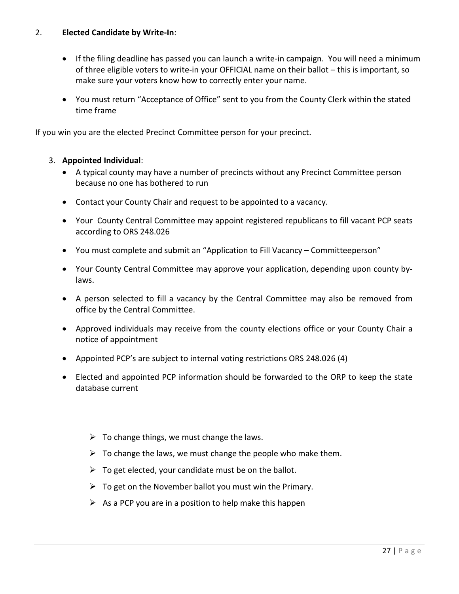#### 2. **Elected Candidate by Write-In**:

- If the filing deadline has passed you can launch a write-in campaign. You will need a minimum of three eligible voters to write-in your OFFICIAL name on their ballot – this is important, so make sure your voters know how to correctly enter your name.
- You must return "Acceptance of Office" sent to you from the County Clerk within the stated time frame

If you win you are the elected Precinct Committee person for your precinct.

#### 3. **Appointed Individual**:

- A typical county may have a number of precincts without any Precinct Committee person because no one has bothered to run
- Contact your County Chair and request to be appointed to a vacancy.
- Your County Central Committee may appoint registered republicans to fill vacant PCP seats according to ORS 248.026
- You must complete and submit an "Application to Fill Vacancy Committeeperson"
- Your County Central Committee may approve your application, depending upon county bylaws.
- A person selected to fill a vacancy by the Central Committee may also be removed from office by the Central Committee.
- Approved individuals may receive from the county elections office or your County Chair a notice of appointment
- Appointed PCP's are subject to internal voting restrictions ORS 248.026 (4)
- Elected and appointed PCP information should be forwarded to the ORP to keep the state database current
	- $\triangleright$  To change things, we must change the laws.
	- $\triangleright$  To change the laws, we must change the people who make them.
	- $\triangleright$  To get elected, your candidate must be on the ballot.
	- $\triangleright$  To get on the November ballot you must win the Primary.
	- $\triangleright$  As a PCP you are in a position to help make this happen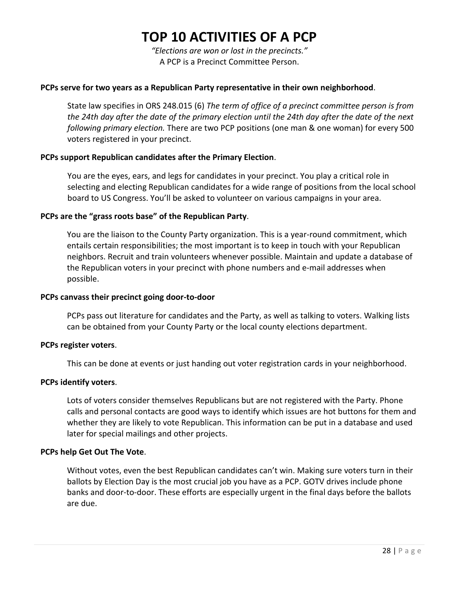### **TOP 10 ACTIVITIES OF A PCP**

*"Elections are won or lost in the precincts."* A PCP is a Precinct Committee Person.

#### **PCPs serve for two years as a Republican Party representative in their own neighborhood**.

State law specifies in ORS 248.015 (6) *The term of office of a precinct committee person is from the 24th day after the date of the primary election until the 24th day after the date of the next following primary election.* There are two PCP positions (one man & one woman) for every 500 voters registered in your precinct.

#### **PCPs support Republican candidates after the Primary Election**.

You are the eyes, ears, and legs for candidates in your precinct. You play a critical role in selecting and electing Republican candidates for a wide range of positions from the local school board to US Congress. You'll be asked to volunteer on various campaigns in your area.

#### **PCPs are the "grass roots base" of the Republican Party**.

You are the liaison to the County Party organization. This is a year-round commitment, which entails certain responsibilities; the most important is to keep in touch with your Republican neighbors. Recruit and train volunteers whenever possible. Maintain and update a database of the Republican voters in your precinct with phone numbers and e-mail addresses when possible.

#### **PCPs canvass their precinct going door-to-door**

PCPs pass out literature for candidates and the Party, as well as talking to voters. Walking lists can be obtained from your County Party or the local county elections department.

#### **PCPs register voters**.

This can be done at events or just handing out voter registration cards in your neighborhood.

#### **PCPs identify voters**.

Lots of voters consider themselves Republicans but are not registered with the Party. Phone calls and personal contacts are good ways to identify which issues are hot buttons for them and whether they are likely to vote Republican. This information can be put in a database and used later for special mailings and other projects.

#### **PCPs help Get Out The Vote**.

Without votes, even the best Republican candidates can't win. Making sure voters turn in their ballots by Election Day is the most crucial job you have as a PCP. GOTV drives include phone banks and door-to-door. These efforts are especially urgent in the final days before the ballots are due.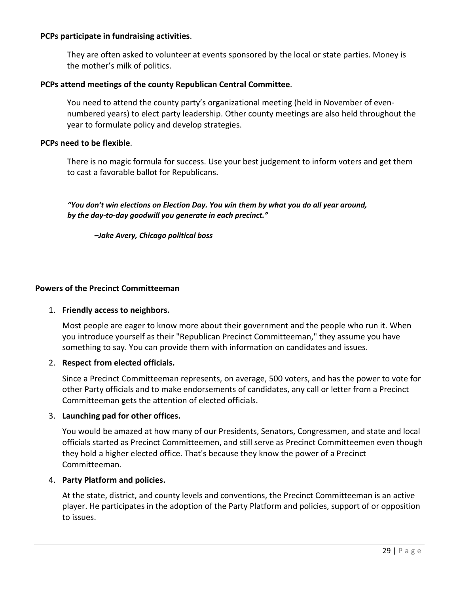#### **PCPs participate in fundraising activities**.

They are often asked to volunteer at events sponsored by the local or state parties. Money is the mother's milk of politics.

#### **PCPs attend meetings of the county Republican Central Committee**.

You need to attend the county party's organizational meeting (held in November of evennumbered years) to elect party leadership. Other county meetings are also held throughout the year to formulate policy and develop strategies.

#### **PCPs need to be flexible**.

There is no magic formula for success. Use your best judgement to inform voters and get them to cast a favorable ballot for Republicans.

*"You don't win elections on Election Day. You win them by what you do all year around, by the day-to-day goodwill you generate in each precinct."*

*–Jake Avery, Chicago political boss*

#### **Powers of the Precinct Committeeman**

#### 1. **Friendly access to neighbors.**

Most people are eager to know more about their government and the people who run it. When you introduce yourself as their "Republican Precinct Committeeman," they assume you have something to say. You can provide them with information on candidates and issues.

#### 2. **Respect from elected officials.**

Since a Precinct Committeeman represents, on average, 500 voters, and has the power to vote for other Party officials and to make endorsements of candidates, any call or letter from a Precinct Committeeman gets the attention of elected officials.

#### 3. **Launching pad for other offices.**

You would be amazed at how many of our Presidents, Senators, Congressmen, and state and local officials started as Precinct Committeemen, and still serve as Precinct Committeemen even though they hold a higher elected office. That's because they know the power of a Precinct Committeeman.

#### 4. **Party Platform and policies.**

At the state, district, and county levels and conventions, the Precinct Committeeman is an active player. He participates in the adoption of the Party Platform and policies, support of or opposition to issues.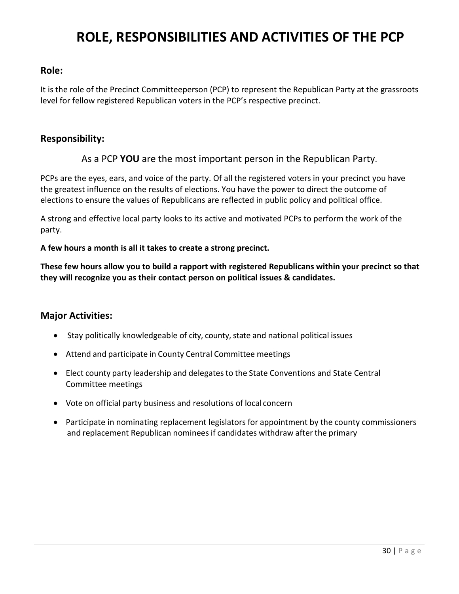### **ROLE, RESPONSIBILITIES AND ACTIVITIES OF THE PCP**

#### **Role:**

It is the role of the Precinct Committeeperson (PCP) to represent the Republican Party at the grassroots level for fellow registered Republican voters in the PCP's respective precinct.

#### **Responsibility:**

#### As a PCP **YOU** are the most important person in the Republican Party.

PCPs are the eyes, ears, and voice of the party. Of all the registered voters in your precinct you have the greatest influence on the results of elections. You have the power to direct the outcome of elections to ensure the values of Republicans are reflected in public policy and political office.

A strong and effective local party looks to its active and motivated PCPs to perform the work of the party.

#### **A few hours a month is all it takes to create a strong precinct.**

**These few hours allow you to build a rapport with registered Republicans within your precinct so that they will recognize you as their contact person on political issues & candidates.**

#### **Major Activities:**

- Stay politically knowledgeable of city, county, state and national political issues
- Attend and participate in County Central Committee meetings
- Elect county party leadership and delegates to the State Conventions and State Central Committee meetings
- Vote on official party business and resolutions of local concern
- Participate in nominating replacement legislators for appointment by the county commissioners and replacement Republican nominees if candidates withdraw after the primary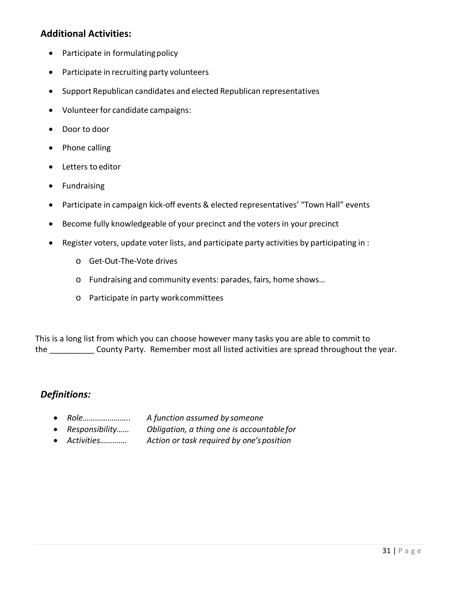#### **Additional Activities:**

- Participate in formulating policy
- Participate in recruiting party volunteers
- Support Republican candidates and elected Republican representatives
- Volunteerfor candidate campaigns:
- Door to door
- Phone calling
- Letters to editor
- Fundraising
- Participate in campaign kick-off events & elected representatives' "Town Hall" events
- Become fully knowledgeable of your precinct and the voters in your precinct
- Register voters, update voter lists, and participate party activities by participating in :
	- o Get-Out-The-Vote drives
	- o Fundraising and community events: parades, fairs, home shows…
	- o Participate in party workcommittees

This is a long list from which you can choose however many tasks you are able to commit to the \_\_\_\_\_\_\_\_\_\_ County Party. Remember most all listed activities are spread throughout the year.

#### *Definitions:*

- *Role………………….. A function assumed by someone*
- *Responsibility…… Obligation, a thing one is accountablefor*
- *Activities…………. Action or task required by one'sposition*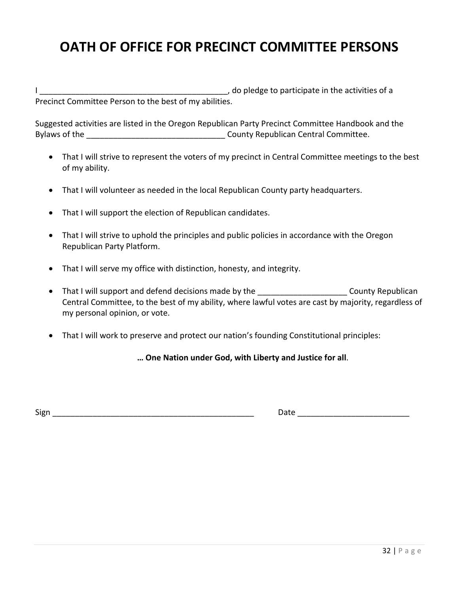### **OATH OF OFFICE FOR PRECINCT COMMITTEE PERSONS**

I \_\_\_\_\_\_\_\_\_\_\_\_\_\_\_\_\_\_\_\_\_\_\_\_\_\_\_\_\_\_\_\_\_\_\_\_\_\_\_\_\_\_, do pledge to participate in the activities of a Precinct Committee Person to the best of my abilities.

Suggested activities are listed in the Oregon Republican Party Precinct Committee Handbook and the Bylaws of the **Exercise 2 and Secure 2 and Security County Republican Central Committee.** 

- That I will strive to represent the voters of my precinct in Central Committee meetings to the best of my ability.
- That I will volunteer as needed in the local Republican County party headquarters.
- That I will support the election of Republican candidates.
- That I will strive to uphold the principles and public policies in accordance with the Oregon Republican Party Platform.
- That I will serve my office with distinction, honesty, and integrity.
- That I will support and defend decisions made by the \_\_\_\_\_\_\_\_\_\_\_\_\_\_\_\_\_\_\_\_\_\_\_\_\_ County Republican Central Committee, to the best of my ability, where lawful votes are cast by majority, regardless of my personal opinion, or vote.
- That I will work to preserve and protect our nation's founding Constitutional principles:

**… One Nation under God, with Liberty and Justice for all**.

Sign \_\_\_\_\_\_\_\_\_\_\_\_\_\_\_\_\_\_\_\_\_\_\_\_\_\_\_\_\_\_\_\_\_\_\_\_\_\_\_\_\_\_\_\_\_ Date \_\_\_\_\_\_\_\_\_\_\_\_\_\_\_\_\_\_\_\_\_\_\_\_\_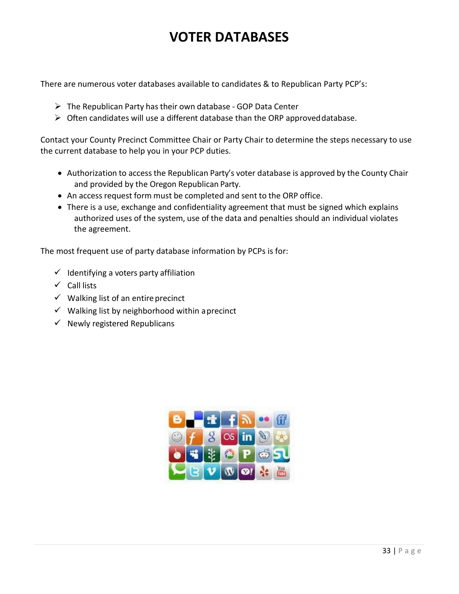### **VOTER DATABASES**

There are numerous voter databases available to candidates & to Republican Party PCP's:

- $\triangleright$  The Republican Party has their own database GOP Data Center
- $\triangleright$  Often candidates will use a different database than the ORP approved database.

Contact your County Precinct Committee Chair or Party Chair to determine the steps necessary to use the current database to help you in your PCP duties.

- Authorization to access the Republican Party's voter database is approved by the County Chair and provided by the Oregon Republican Party.
- An access request form must be completed and sent to the ORP office.
- There is a use, exchange and confidentiality agreement that must be signed which explains authorized uses of the system, use of the data and penalties should an individual violates the agreement.

The most frequent use of party database information by PCPs is for:

- $\checkmark$  Identifying a voters party affiliation
- $\checkmark$  Call lists
- $\checkmark$  Walking list of an entire precinct
- $\checkmark$  Walking list by neighborhood within aprecinct
- $\checkmark$  Newly registered Republicans

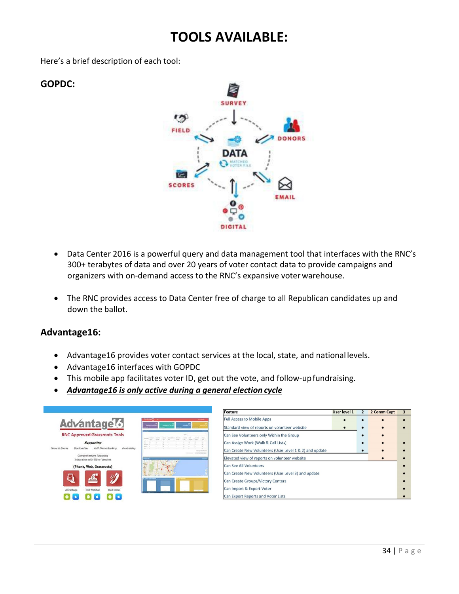### **TOOLS AVAILABLE:**

Here's a brief description of each tool:

#### **GOPDC:**



- Data Center 2016 is a powerful query and data management tool that interfaces with the RNC's 300+ terabytes of data and over 20 years of voter contact data to provide campaigns and organizers with on-demand access to the RNC's expansive voter warehouse.
- The RNC provides access to Data Center free of charge to all Republican candidates up and down the ballot.

#### **Advantage16:**

- Advantage16 provides voter contact services at the local, state, and national levels.
- Advantage16 interfaces with GOPDC
- This mobile app facilitates voter ID, get out the vote, and follow-upfundraising.
- *Advantage16 is only active during a general election cycle*



| Feature                                                 | User level 1 | $\overline{2}$ | 2 Comm Capt | 3 |
|---------------------------------------------------------|--------------|----------------|-------------|---|
| <b>Full Access to Mobile Apps</b>                       |              |                |             |   |
| Standard view of reports on volunteer website           |              |                |             |   |
| Can See Volunteers only Within the Group                |              |                |             |   |
| Can Assign Work (Walk & Call Lists)                     |              |                |             |   |
| Can Create New Volunteers (User Level 1 & 2) and update |              |                |             |   |
| Elevated view of reports on volunteer website           |              |                |             |   |
| Can See All Volunteers                                  |              |                |             |   |
| Can Create New Volunteers (User Level 3) and update     |              |                |             |   |
| Can Create Groups/Victory Centers                       |              |                |             |   |
| Can Import & Export Voter                               |              |                |             |   |
| Can Export Reports and Voter Lists                      |              |                |             |   |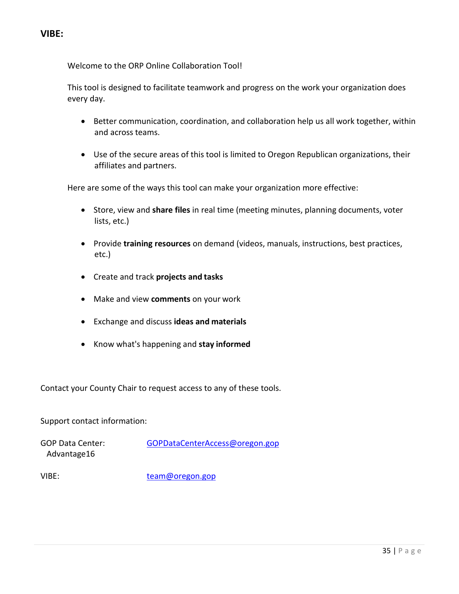Welcome to the ORP Online Collaboration Tool!

This tool is designed to facilitate teamwork and progress on the work your organization does every day.

- Better communication, coordination, and collaboration help us all work together, within and across teams.
- Use of the secure areas of this tool is limited to Oregon Republican organizations, their affiliates and partners.

Here are some of the ways this tool can make your organization more effective:

- Store, view and **share files** in real time (meeting minutes, planning documents, voter lists, etc.)
- Provide **training resources** on demand (videos, manuals, instructions, best practices, etc.)
- Create and track **projects and tasks**
- Make and view **comments** on your work
- Exchange and discuss **ideas and materials**
- Know what's happening and **stay informed**

Contact your County Chair to request access to any of these tools.

#### Support contact information:

GOP Data Center: [GOPDataCenterAccess@oregon.gop](mailto:GOPDataCenterAccess@orgop.org) Advantage16

VIBE: [team@oregon.gop](mailto:team@orgop.org)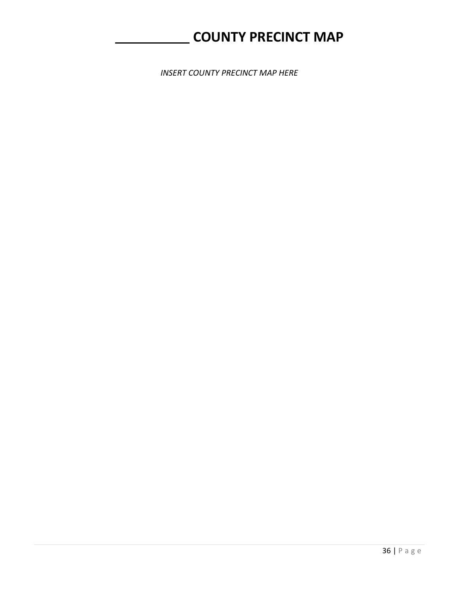### **COUNTY PRECINCT MAP**

*INSERT COUNTY PRECINCT MAP HERE*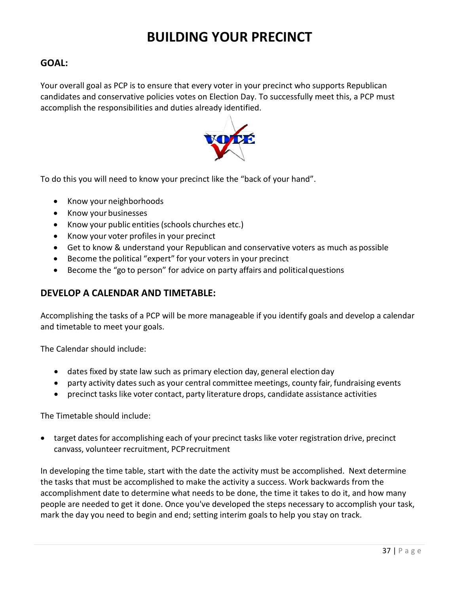### **BUILDING YOUR PRECINCT**

#### **GOAL:**

Your overall goal as PCP is to ensure that every voter in your precinct who supports Republican candidates and conservative policies votes on Election Day. To successfully meet this, a PCP must accomplish the responsibilities and duties already identified.



To do this you will need to know your precinct like the "back of your hand".

- Know your neighborhoods
- Know your businesses
- Know your public entities(schools churches etc.)
- Know your voter profiles in your precinct
- Get to know & understand your Republican and conservative voters as much as possible
- Become the political "expert" for your voters in your precinct
- Become the "go to person" for advice on party affairs and politicalquestions

#### **DEVELOP A CALENDAR AND TIMETABLE:**

Accomplishing the tasks of a PCP will be more manageable if you identify goals and develop a calendar and timetable to meet your goals.

The Calendar should include:

- dates fixed by state law such as primary election day, general election day
- party activity dates such as your central committee meetings, county fair, fundraising events
- precinct tasks like voter contact, party literature drops, candidate assistance activities

The Timetable should include:

• target dates for accomplishing each of your precinct tasks like voter registration drive, precinct canvass, volunteer recruitment, PCPrecruitment

In developing the time table, start with the date the activity must be accomplished. Next determine the tasks that must be accomplished to make the activity a success. Work backwards from the accomplishment date to determine what needs to be done, the time it takes to do it, and how many people are needed to get it done. Once you've developed the steps necessary to accomplish your task, mark the day you need to begin and end; setting interim goals to help you stay on track.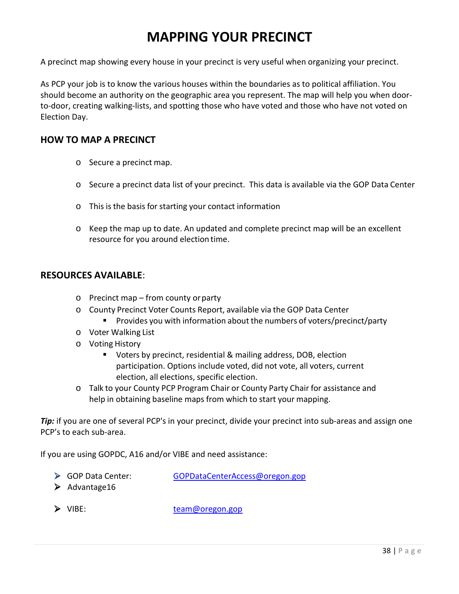### **MAPPING YOUR PRECINCT**

A precinct map showing every house in your precinct is very useful when organizing your precinct.

As PCP your job is to know the various houses within the boundaries as to political affiliation. You should become an authority on the geographic area you represent. The map will help you when doorto-door, creating walking-lists, and spotting those who have voted and those who have not voted on Election Day.

#### **HOW TO MAP A PRECINCT**

- o Secure a precinct map.
- o Secure a precinct data list of your precinct. This data is available via the GOP Data Center
- o This is the basis for starting your contact information
- o Keep the map up to date. An updated and complete precinct map will be an excellent resource for you around election time.

#### **RESOURCES AVAILABLE**:

- o Precinct map from county orparty
- o County Precinct Voter Counts Report, available via the GOP Data Center
	- **Provides you with information about the numbers of voters/precinct/party**
- o Voter Walking List
- o Voting History
	- Voters by precinct, residential & mailing address, DOB, election participation. Options include voted, did not vote, all voters, current election, all elections, specific election.
- o Talk to your County PCP Program Chair or County Party Chair for assistance and help in obtaining baseline maps from which to start your mapping.

*Tip:* if you are one of several PCP's in your precinct, divide your precinct into sub-areas and assign one PCP's to each sub-area.

If you are using GOPDC, A16 and/or VIBE and need assistance:

- GOP Data Center: [GOPDataCenterAccess@oregon.gop](mailto:GOPDataCenterAccess@orgop.org)
- $\blacktriangleright$  Advantage16

> VIBE: [team@oregon.gop](mailto:team@orgop.org)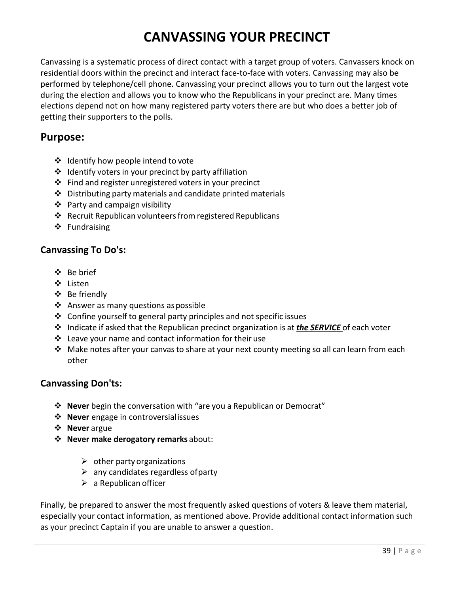### **CANVASSING YOUR PRECINCT**

Canvassing is a systematic process of direct contact with a target group of voters. Canvassers knock on residential doors within the precinct and interact face-to-face with voters. Canvassing may also be performed by telephone/cell phone. Canvassing your precinct allows you to turn out the largest vote during the election and allows you to know who the Republicans in your precinct are. Many times elections depend not on how many registered party voters there are but who does a better job of getting their supporters to the polls.

#### **Purpose:**

- ❖ Identify how people intend to vote
- $\cdot$  Identify voters in your precinct by party affiliation
- ❖ Find and register unregistered voters in your precinct
- $\triangle$  Distributing party materials and candidate printed materials
- $\triangleq$  Party and campaign visibility
- $\triangle$  Recruit Republican volunteers from registered Republicans
- ❖ Fundraising

#### **Canvassing To Do's:**

- Be brief
- ❖ Listen
- Be friendly
- $\triangleleft$  Answer as many questions as possible
- $\triangle$  Confine yourself to general party principles and not specific issues
- Indicate if asked that the Republican precinct organization is at *the SERVICE* of each voter
- $\cdot$  Leave your name and contact information for their use
- $\cdot$  Make notes after your canvas to share at your next county meeting so all can learn from each other

#### **Canvassing Don'ts:**

- **Never** begin the conversation with "are you a Republican or Democrat"
- **❖ Never** engage in controversialissues
- **Never** argue
- **Never make derogatory remarks** about:
	- $\triangleright$  other party organizations
	- $\triangleright$  any candidates regardless of party
	- $\triangleright$  a Republican officer

Finally, be prepared to answer the most frequently asked questions of voters & leave them material, especially your contact information, as mentioned above. Provide additional contact information such as your precinct Captain if you are unable to answer a question.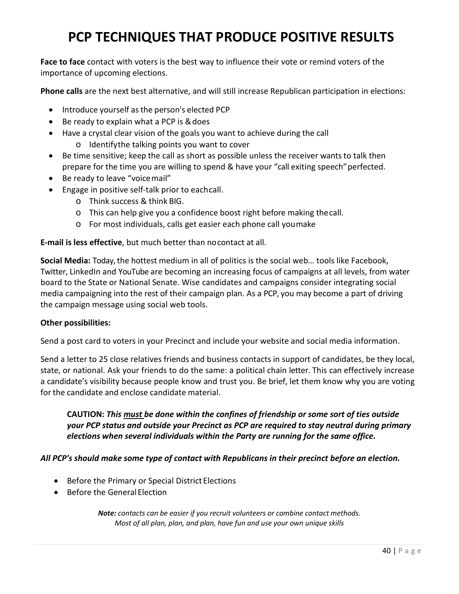### **PCP TECHNIQUES THAT PRODUCE POSITIVE RESULTS**

**Face to face** contact with voters is the best way to influence their vote or remind voters of the importance of upcoming elections.

**Phone calls** are the next best alternative, and will still increase Republican participation in elections:

- Introduce yourself asthe person's elected PCP
- Be ready to explain what a PCP is &does
- Have a crystal clear vision of the goals you want to achieve during the call o Identifythe talking points you want to cover
- Be time sensitive; keep the call as short as possible unless the receiver wants to talk then prepare for the time you are willing to spend & have your "call exiting speech" perfected.
- Be ready to leave "voicemail"
- Engage in positive self-talk prior to eachcall.
	- o Think success & think BIG.
	- o This can help give you a confidence boost right before making thecall.
	- o For most individuals, calls get easier each phone call youmake

**E-mail is less effective**, but much better than nocontact at all.

**Social Media:** Today, the hottest medium in all of politics is the social web… tools like Facebook, Twitter, LinkedIn and YouTube are becoming an increasing focus of campaigns at all levels, from water board to the State or National Senate. Wise candidates and campaigns consider integrating social media campaigning into the rest of their campaign plan. As a PCP, you may become a part of driving the campaign message using social web tools.

#### **Other possibilities:**

Send a post card to voters in your Precinct and include your website and social media information.

Send a letter to 25 close relatives friends and business contacts in support of candidates, be they local, state, or national. Ask your friends to do the same: a political chain letter. This can effectively increase a candidate's visibility because people know and trust you. Be brief, let them know why you are voting for the candidate and enclose candidate material.

**CAUTION:** *This must be done within the confines of friendship or some sort of ties outside your PCP status and outside your Precinct as PCP are required to stay neutral during primary elections when several individuals within the Party are running for the same office.*

*All PCP's should make some type of contact with Republicans in their precinct before an election.*

- Before the Primary or Special District Elections
- Before the General Election

*Note: contacts can be easier if you recruit volunteers or combine contact methods. Most of all plan, plan, and plan, have fun and use your own unique skills*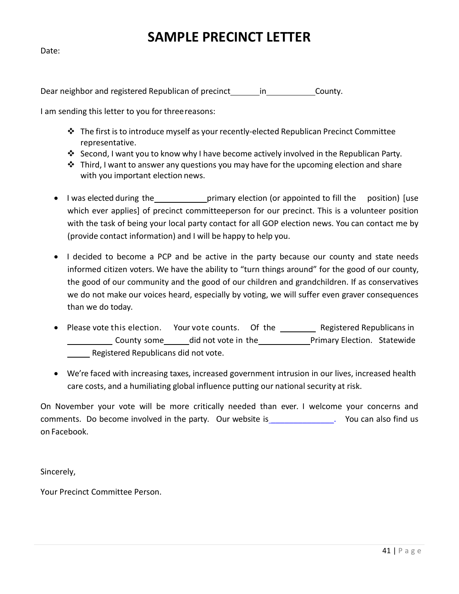### **SAMPLE PRECINCT LETTER**

Date:

Dear neighbor and registered Republican of precinct in County.

I am sending this letter to you for threereasons:

- The first isto introduce myself as your recently-elected Republican Precinct Committee representative.
- Second, I want you to know why I have become actively involved in the Republican Party.
- $\cdot$  Third, I want to answer any questions you may have for the upcoming election and share with you important election news.
- I was elected during the primary election (or appointed to fill the position) [use which ever applies] of precinct committeeperson for our precinct. This is a volunteer position with the task of being your local party contact for all GOP election news. You can contact me by (provide contact information) and I will be happy to help you.
- I decided to become a PCP and be active in the party because our county and state needs informed citizen voters. We have the ability to "turn things around" for the good of our county, the good of our community and the good of our children and grandchildren. If as conservatives we do not make our voices heard, especially by voting, we will suffer even graver consequences than we do today.
- Please vote this election. Your vote counts. Of the \_\_\_\_\_\_\_\_\_ Registered Republicans in County some did not vote in the Primary Election. Statewide Registered Republicans did not vote.
- We're faced with increasing taxes, increased government intrusion in our lives, increased health care costs, and a humiliating global influence putting our national security at risk.

On November your vote will be more critically needed than ever. I welcome your concerns and comments. Do become involved in the party. Our website is \_[\\_\\_\\_\\_\\_\\_\\_\\_\\_\\_\\_\\_\\_\\_.](http://www.curycountyrepublicans.org./) You can also find us on Facebook.

Sincerely,

Your Precinct Committee Person.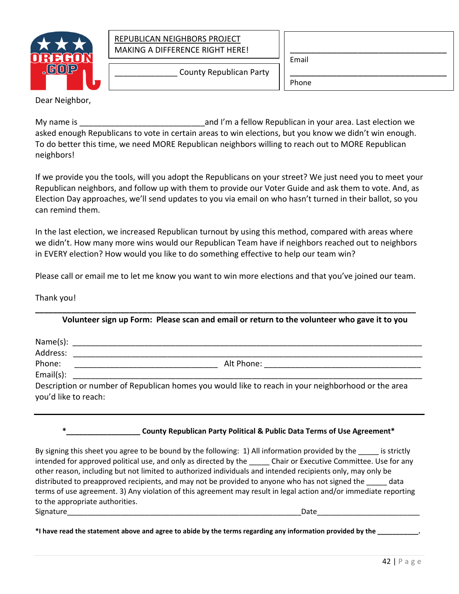

#### REPUBLICAN NEIGHBORS PROJECT MAKING A DIFFERENCE RIGHT HERE!

Email

\_\_\_\_\_\_\_\_\_\_\_\_\_\_ County Republican Party

\_\_\_\_\_\_\_\_\_\_\_\_\_\_\_\_\_\_\_\_\_\_\_\_\_\_\_\_\_\_ Phone

Dear Neighbor,

My name is the same is the same of the same of the same and I'm a fellow Republican in your area. Last election we asked enough Republicans to vote in certain areas to win elections, but you know we didn't win enough. To do better this time, we need MORE Republican neighbors willing to reach out to MORE Republican neighbors!

If we provide you the tools, will you adopt the Republicans on your street? We just need you to meet your Republican neighbors, and follow up with them to provide our Voter Guide and ask them to vote. And, as Election Day approaches, we'll send updates to you via email on who hasn't turned in their ballot, so you can remind them.

In the last election, we increased Republican turnout by using this method, compared with areas where we didn't. How many more wins would our Republican Team have if neighbors reached out to neighbors in EVERY election? How would you like to do something effective to help our team win?

Please call or email me to let me know you want to win more elections and that you've joined our team.

**\_\_\_\_\_\_\_\_\_\_\_\_\_\_\_\_\_\_\_\_\_\_\_\_\_\_\_\_\_\_\_\_\_\_\_\_\_\_\_\_\_\_\_\_\_\_\_\_\_\_\_\_\_\_\_\_\_\_\_\_\_\_\_\_\_\_\_\_\_\_\_\_\_\_\_\_\_\_\_\_\_\_\_\_\_**

Thank you!

**Volunteer sign up Form: Please scan and email or return to the volunteer who gave it to you**

| Address:             |                                                                                                    |
|----------------------|----------------------------------------------------------------------------------------------------|
| Phone:               | Alt Phone: <u>___________________</u>                                                              |
| Email(s):            |                                                                                                    |
| you'd like to reach: | Description or number of Republican homes you would like to reach in your neighborhood or the area |

**\*\_\_\_\_\_\_\_\_\_\_\_\_\_\_\_\_\_\_ County Republican Party Political & Public Data Terms of Use Agreement\***

By signing this sheet you agree to be bound by the following: 1) All information provided by the strictly intended for approved political use, and only as directed by the \_\_\_\_\_\_ Chair or Executive Committee. Use for any other reason, including but not limited to authorized individuals and intended recipients only, may only be distributed to preapproved recipients, and may not be provided to anyone who has not signed the data terms of use agreement. 3) Any violation of this agreement may result in legal action and/or immediate reporting to the appropriate authorities. Signature\_\_\_\_\_\_\_\_\_\_\_\_\_\_\_\_\_\_\_\_\_\_\_\_\_\_\_\_\_\_\_\_\_\_\_\_\_\_\_\_\_\_\_\_\_\_\_\_\_\_\_\_\_\_\_\_\_Date\_\_\_\_\_\_\_\_\_\_\_\_\_\_\_\_\_\_\_\_\_\_\_\_\_

**\*I have read the statement above and agree to abide by the terms regarding any information provided by the \_\_\_\_\_\_\_\_\_\_\_.**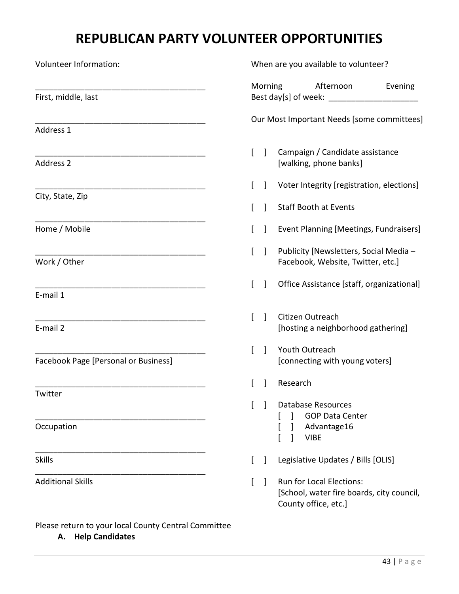### **REPUBLICAN PARTY VOLUNTEER OPPORTUNITIES**

| Volunteer Information:               |   |              | When are you available to volunteer?                                                                 |
|--------------------------------------|---|--------------|------------------------------------------------------------------------------------------------------|
| First, middle, last                  |   | Morning      | Afternoon<br>Evening                                                                                 |
| Address 1                            |   |              | Our Most Important Needs [some committees]                                                           |
| Address 2                            | L | $\perp$      | Campaign / Candidate assistance<br>[walking, phone banks]                                            |
|                                      | L |              | Voter Integrity [registration, elections]                                                            |
| City, State, Zip                     |   |              | <b>Staff Booth at Events</b>                                                                         |
| Home / Mobile                        |   |              | Event Planning [Meetings, Fundraisers]                                                               |
| Work / Other                         |   |              | Publicity [Newsletters, Social Media -<br>Facebook, Website, Twitter, etc.]                          |
| E-mail 1                             | L |              | Office Assistance [staff, organizational]                                                            |
| E-mail 2                             |   |              | Citizen Outreach<br>[hosting a neighborhood gathering]                                               |
| Facebook Page [Personal or Business] |   |              | Youth Outreach<br>[connecting with young voters]                                                     |
|                                      |   |              | Research                                                                                             |
| Twitter                              |   |              | <b>Database Resources</b><br><b>GOP Data Center</b>                                                  |
| Occupation                           |   |              | Advantage16<br><b>VIBE</b>                                                                           |
| <b>Skills</b>                        |   | $\mathbf{I}$ | Legislative Updates / Bills [OLIS]                                                                   |
| <b>Additional Skills</b>             | L |              | <b>Run for Local Elections:</b><br>[School, water fire boards, city council,<br>County office, etc.] |

Please return to your local County Central Committee **A. Help Candidates**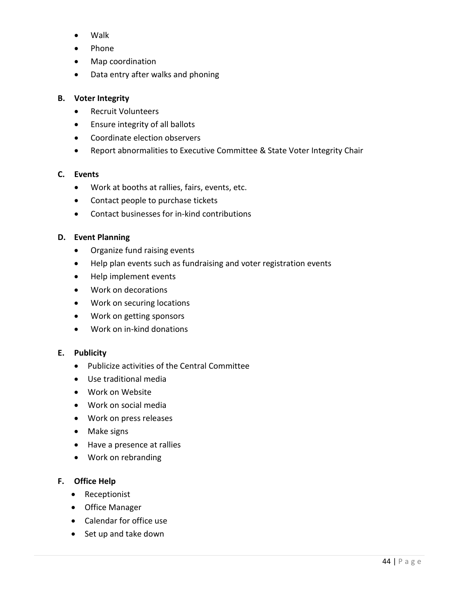- Walk
- Phone
- Map coordination
- Data entry after walks and phoning

#### **B. Voter Integrity**

- Recruit Volunteers
- Ensure integrity of all ballots
- Coordinate election observers
- Report abnormalities to Executive Committee & State Voter Integrity Chair

#### **C. Events**

- Work at booths at rallies, fairs, events, etc.
- Contact people to purchase tickets
- Contact businesses for in-kind contributions

#### **D. Event Planning**

- Organize fund raising events
- Help plan events such as fundraising and voter registration events
- Help implement events
- Work on decorations
- Work on securing locations
- Work on getting sponsors
- Work on in-kind donations

#### **E. Publicity**

- Publicize activities of the Central Committee
- Use traditional media
- Work on Website
- Work on social media
- Work on press releases
- Make signs
- Have a presence at rallies
- Work on rebranding

#### **F. Office Help**

- Receptionist
- Office Manager
- Calendar for office use
- Set up and take down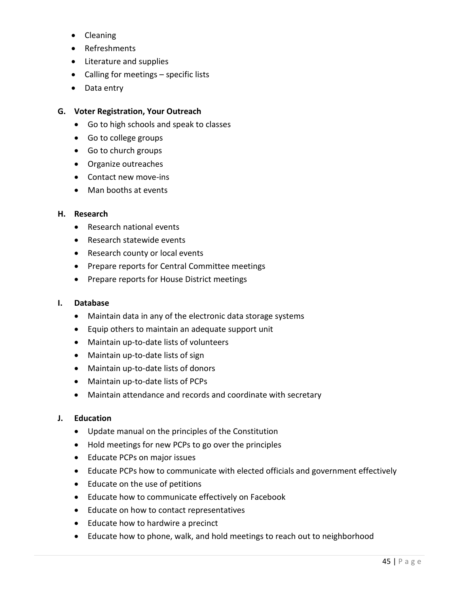- Cleaning
- Refreshments
- Literature and supplies
- Calling for meetings specific lists
- Data entry

#### **G. Voter Registration, Your Outreach**

- Go to high schools and speak to classes
- Go to college groups
- Go to church groups
- Organize outreaches
- Contact new move-ins
- Man booths at events

#### **H. Research**

- Research national events
- Research statewide events
- Research county or local events
- Prepare reports for Central Committee meetings
- Prepare reports for House District meetings

#### **I. Database**

- Maintain data in any of the electronic data storage systems
- Equip others to maintain an adequate support unit
- Maintain up-to-date lists of volunteers
- Maintain up-to-date lists of sign
- Maintain up-to-date lists of donors
- Maintain up-to-date lists of PCPs
- Maintain attendance and records and coordinate with secretary

#### **J. Education**

- Update manual on the principles of the Constitution
- Hold meetings for new PCPs to go over the principles
- Educate PCPs on major issues
- Educate PCPs how to communicate with elected officials and government effectively
- Educate on the use of petitions
- Educate how to communicate effectively on Facebook
- Educate on how to contact representatives
- Educate how to hardwire a precinct
- Educate how to phone, walk, and hold meetings to reach out to neighborhood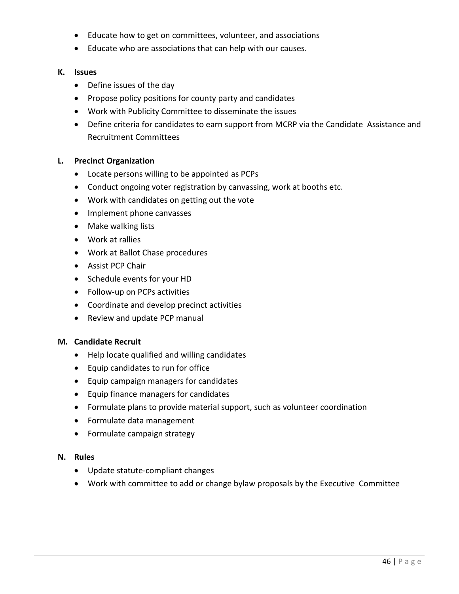- Educate how to get on committees, volunteer, and associations
- Educate who are associations that can help with our causes.

#### **K. Issues**

- Define issues of the day
- Propose policy positions for county party and candidates
- Work with Publicity Committee to disseminate the issues
- Define criteria for candidates to earn support from MCRP via the Candidate Assistance and Recruitment Committees

#### **L. Precinct Organization**

- Locate persons willing to be appointed as PCPs
- Conduct ongoing voter registration by canvassing, work at booths etc.
- Work with candidates on getting out the vote
- Implement phone canvasses
- Make walking lists
- Work at rallies
- Work at Ballot Chase procedures
- Assist PCP Chair
- Schedule events for your HD
- Follow-up on PCPs activities
- Coordinate and develop precinct activities
- Review and update PCP manual

#### **M. Candidate Recruit**

- Help locate qualified and willing candidates
- Equip candidates to run for office
- Equip campaign managers for candidates
- Equip finance managers for candidates
- Formulate plans to provide material support, such as volunteer coordination
- Formulate data management
- Formulate campaign strategy

#### **N. Rules**

- Update statute-compliant changes
- Work with committee to add or change bylaw proposals by the Executive Committee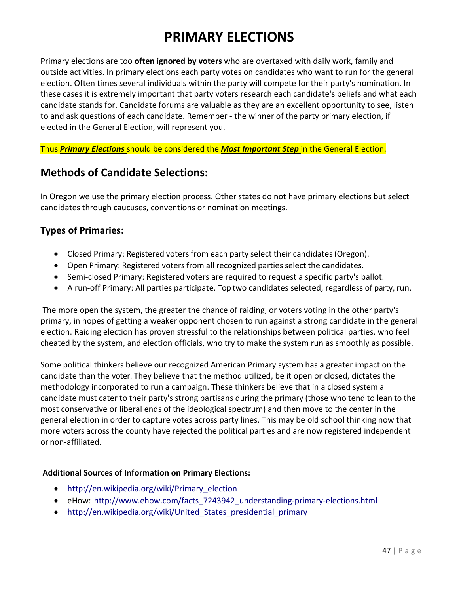### **PRIMARY ELECTIONS**

Primary elections are too **often ignored by voters** who are overtaxed with daily work, family and outside activities. In primary elections each party votes on candidates who want to run for the general election. Often times several individuals within the party will compete for their party's nomination. In these cases it is extremely important that party voters research each candidate's beliefs and what each candidate stands for. Candidate forums are valuable as they are an excellent opportunity to see, listen to and ask questions of each candidate. Remember - the winner of the party primary election, if elected in the General Election, will represent you.

Thus *Primary Elections* should be considered the *Most Important Step* in the General Election.

### **Methods of Candidate Selections:**

In Oregon we use the primary election process. Other states do not have primary elections but select candidates through caucuses, conventions or nomination meetings.

#### **Types of Primaries:**

- Closed Primary: Registered voters from each party select their candidates (Oregon).
- Open Primary: Registered voters from all recognized parties select the candidates.
- Semi-closed Primary: Registered voters are required to request a specific party's ballot.
- A run-off Primary: All parties participate. Top two candidates selected, regardless of party, run.

The more open the system, the greater the chance of raiding, or voters voting in the other party's primary, in hopes of getting a weaker opponent chosen to run against a strong candidate in the general election. Raiding election has proven stressful to the relationships between political parties, who feel cheated by the system, and election officials, who try to make the system run as smoothly as possible.

Some political thinkers believe our recognized American Primary system has a greater impact on the candidate than the voter. They believe that the method utilized, be it open or closed, dictates the methodology incorporated to run a campaign. These thinkers believe that in a closed system a candidate must cater to their party's strong partisans during the primary (those who tend to lean to the most conservative or liberal ends of the ideological spectrum) and then move to the center in the general election in order to capture votes across party lines. This may be old school thinking now that more voters across the county have rejected the political parties and are now registered independent or non-affiliated.

#### **Additional Sources of Information on Primary Elections:**

- http://en.wikipedia.org/wiki/Primary election
- eHow: [http://www.ehow.com/facts\\_7243942\\_understanding-primary-elections.html](http://www.ehow.com/facts_7243942_understanding-primary-elections.html)
- http://en.wikipedia.org/wiki/United States presidential primary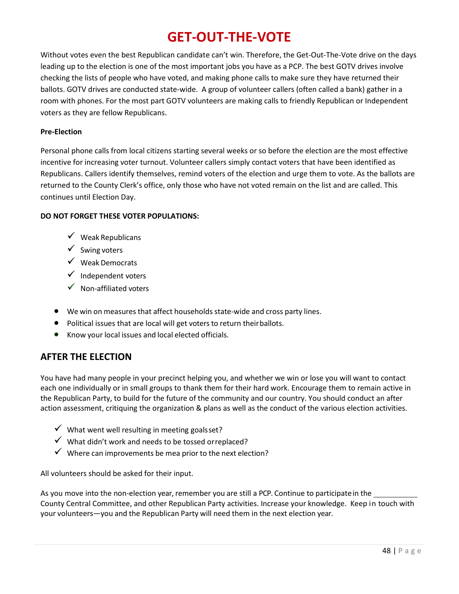### **GET-OUT-THE-VOTE**

Without votes even the best Republican candidate can't win. Therefore, the Get-Out-The-Vote drive on the days leading up to the election is one of the most important jobs you have as a PCP. The best GOTV drives involve checking the lists of people who have voted, and making phone calls to make sure they have returned their ballots. GOTV drives are conducted state-wide. A group of volunteer callers (often called a bank) gather in a room with phones. For the most part GOTV volunteers are making calls to friendly Republican or Independent voters as they are fellow Republicans.

#### **Pre-Election**

Personal phone calls from local citizens starting several weeks or so before the election are the most effective incentive for increasing voter turnout. Volunteer callers simply contact voters that have been identified as Republicans. Callers identify themselves, remind voters of the election and urge them to vote. As the ballots are returned to the County Clerk's office, only those who have not voted remain on the list and are called. This continues until Election Day.

#### **DO NOT FORGET THESE VOTER POPULATIONS:**

- $\checkmark$  Weak Republicans
- $\checkmark$  Swing voters
- $\checkmark$  Weak Democrats
- $\checkmark$  Independent voters
- $\checkmark$  Non-affiliated voters
- We win on measures that affect households state-wide and cross party lines.
- Political issues that are local will get voters to return theirballots.
- Know your local issues and local elected officials.

#### **AFTER THE ELECTION**

You have had many people in your precinct helping you, and whether we win or lose you will want to contact each one individually or in small groups to thank them for their hard work. Encourage them to remain active in the Republican Party, to build for the future of the community and our country. You should conduct an after action assessment, critiquing the organization & plans as well as the conduct of the various election activities.

- $\checkmark$  What went well resulting in meeting goalsset?
- $\checkmark$  What didn't work and needs to be tossed or replaced?
- $\checkmark$  Where can improvements be mea prior to the next election?

All volunteers should be asked for their input.

As you move into the non-election year, remember you are still a PCP. Continue to participatein the County Central Committee, and other Republican Party activities. Increase your knowledge. Keep in touch with your volunteers—you and the Republican Party will need them in the next election year.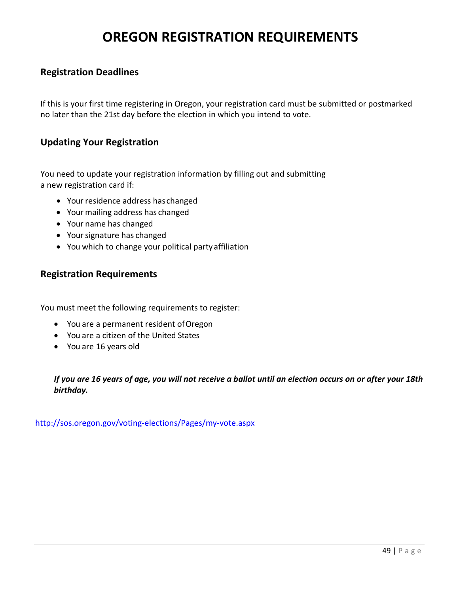### **OREGON REGISTRATION REQUIREMENTS**

#### **Registration Deadlines**

If this is your first time registering in Oregon, your registration card must be submitted or postmarked no later than the 21st day before the election in which you intend to vote.

#### **Updating Your Registration**

You need to update your registration information by filling out and submitting a new registration card if:

- Your residence address has changed
- Your mailing address has changed
- Your name has changed
- Your signature has changed
- You which to change your political partyaffiliation

#### **[Registration Requirements](http://www.uhavavote.org/elect_q_a/voter_reg/reg_qual.html)**

You must meet the following requirements to register:

- You are a permanent resident ofOregon
- You are a citizen of the United States
- You are 16 years old

*If you are 16 years of age, you will not receive a ballot until an election occurs on or after your 18th birthday.*

<http://sos.oregon.gov/voting-elections/Pages/my-vote.aspx>